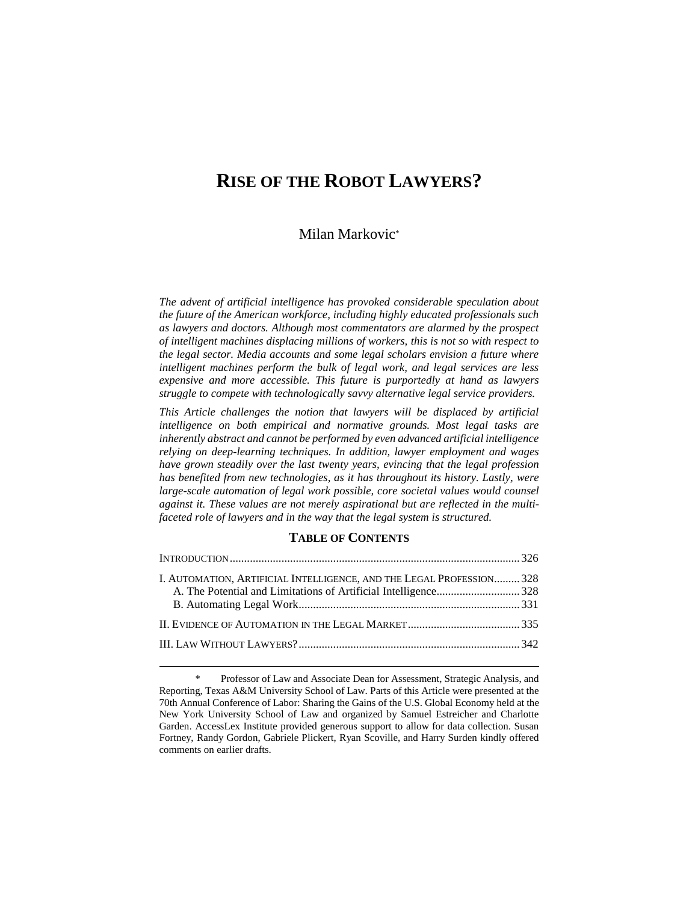# **RISE OF THE ROBOT LAWYERS?**

## Milan Markovic\*

*The advent of artificial intelligence has provoked considerable speculation about the future of the American workforce, including highly educated professionals such as lawyers and doctors. Although most commentators are alarmed by the prospect of intelligent machines displacing millions of workers, this is not so with respect to the legal sector. Media accounts and some legal scholars envision a future where intelligent machines perform the bulk of legal work, and legal services are less expensive and more accessible. This future is purportedly at hand as lawyers struggle to compete with technologically savvy alternative legal service providers.*

*This Article challenges the notion that lawyers will be displaced by artificial intelligence on both empirical and normative grounds. Most legal tasks are inherently abstract and cannot be performed by even advanced artificial intelligence relying on deep-learning techniques. In addition, lawyer employment and wages have grown steadily over the last twenty years, evincing that the legal profession has benefited from new technologies, as it has throughout its history. Lastly, were large-scale automation of legal work possible, core societal values would counsel against it. These values are not merely aspirational but are reflected in the multifaceted role of lawyers and in the way that the legal system is structured.*

### **TABLE OF CONTENTS**

| I. AUTOMATION, ARTIFICIAL INTELLIGENCE, AND THE LEGAL PROFESSION 328 |  |
|----------------------------------------------------------------------|--|
| A. The Potential and Limitations of Artificial Intelligence328       |  |
|                                                                      |  |
|                                                                      |  |

Professor of Law and Associate Dean for Assessment, Strategic Analysis, and Reporting, Texas A&M University School of Law. Parts of this Article were presented at the 70th Annual Conference of Labor: Sharing the Gains of the U.S. Global Economy held at the New York University School of Law and organized by Samuel Estreicher and Charlotte Garden. AccessLex Institute provided generous support to allow for data collection. Susan Fortney, Randy Gordon, Gabriele Plickert, Ryan Scoville, and Harry Surden kindly offered comments on earlier drafts.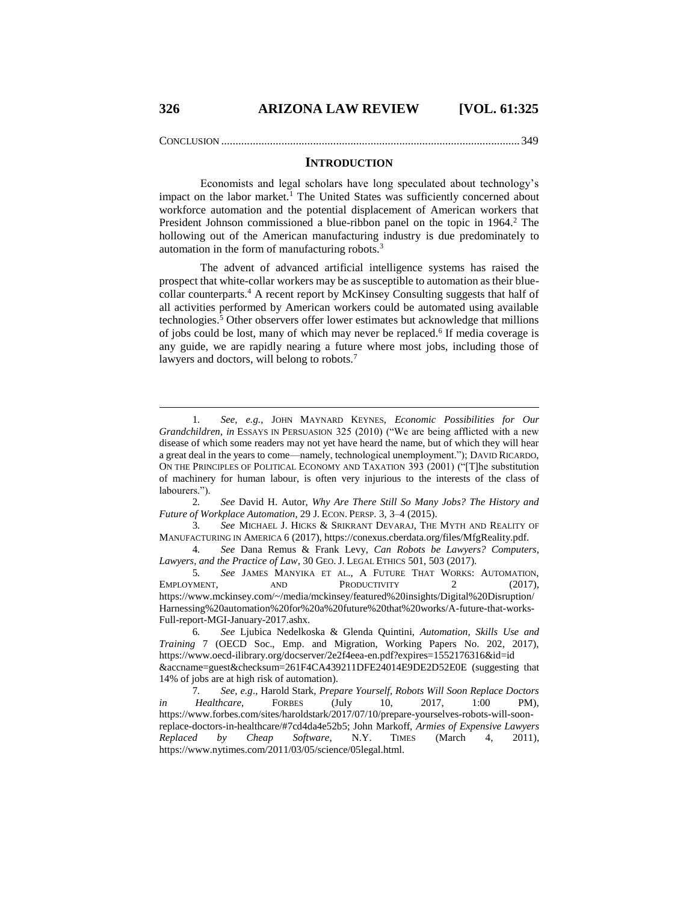CONCLUSION ........................................................................................................349

### <span id="page-1-3"></span><span id="page-1-0"></span>**INTRODUCTION**

Economists and legal scholars have long speculated about technology's impact on the labor market.<sup>1</sup> The United States was sufficiently concerned about workforce automation and the potential displacement of American workers that President Johnson commissioned a blue-ribbon panel on the topic in  $1964<sup>2</sup>$ . The hollowing out of the American manufacturing industry is due predominately to automation in the form of manufacturing robots.<sup>3</sup>

<span id="page-1-2"></span><span id="page-1-1"></span>The advent of advanced artificial intelligence systems has raised the prospect that white-collar workers may be as susceptible to automation as their bluecollar counterparts.<sup>4</sup> A recent report by McKinsey Consulting suggests that half of all activities performed by American workers could be automated using available technologies.<sup>5</sup> Other observers offer lower estimates but acknowledge that millions of jobs could be lost, many of which may never be replaced.<sup>6</sup> If media coverage is any guide, we are rapidly nearing a future where most jobs, including those of lawyers and doctors, will belong to robots.<sup>7</sup>

2*. See* David H. Autor, *Why Are There Still So Many Jobs? The History and Future of Workplace Automation*, 29 J. ECON. PERSP. 3, 3–4 (2015).

3*. See* MICHAEL J. HICKS & SRIKRANT DEVARAJ, THE MYTH AND REALITY OF MANUFACTURING IN AMERICA 6 (2017), https://conexus.cberdata.org/files/MfgReality.pdf.

4*. See* Dana Remus & Frank Levy, *Can Robots be Lawyers? Computers, Lawyers, and the Practice of Law*, 30 GEO. J. LEGAL ETHICS 501, 503 (2017).

5*. See* JAMES MANYIKA ET AL., A FUTURE THAT WORKS: AUTOMATION, EMPLOYMENT, AND PRODUCTIVITY 2 (2017), https://www.mckinsey.com/~/media/mckinsey/featured%20insights/Digital%20Disruption/ Harnessing%20automation%20for%20a%20future%20that%20works/A-future-that-works-Full-report-MGI-January-2017.ashx.

6*. See* Ljubica Nedelkoska & Glenda Quintini, *Automation, Skills Use and Training* 7 (OECD Soc., Emp. and Migration, Working Papers No. 202, 2017), https://www.oecd-ilibrary.org/docserver/2e2f4eea-en.pdf?expires=1552176316&id=id &accname=guest&checksum=261F4CA439211DFE24014E9DE2D52E0E (suggesting that 14% of jobs are at high risk of automation).

7*. See, e.g*., Harold Stark, *Prepare Yourself, Robots Will Soon Replace Doctors in Healthcare*, FORBES (July 10, 2017, 1:00 PM), https://www.forbes.com/sites/haroldstark/2017/07/10/prepare-yourselves-robots-will-soonreplace-doctors-in-healthcare/#7cd4da4e52b5; John Markoff, *Armies of Expensive Lawyers Replaced by Cheap Software*, N.Y. TIMES (March 4, 2011), https://www.nytimes.com/2011/03/05/science/05legal.html.

<sup>1</sup>*. See, e.g.*, JOHN MAYNARD KEYNES, *Economic Possibilities for Our Grandchildren*, *in* ESSAYS IN PERSUASION 325 (2010) ("We are being afflicted with a new disease of which some readers may not yet have heard the name, but of which they will hear a great deal in the years to come—namely, technological unemployment."); DAVID RICARDO, ON THE PRINCIPLES OF POLITICAL ECONOMY AND TAXATION 393 (2001) ("[T]he substitution of machinery for human labour, is often very injurious to the interests of the class of labourers.").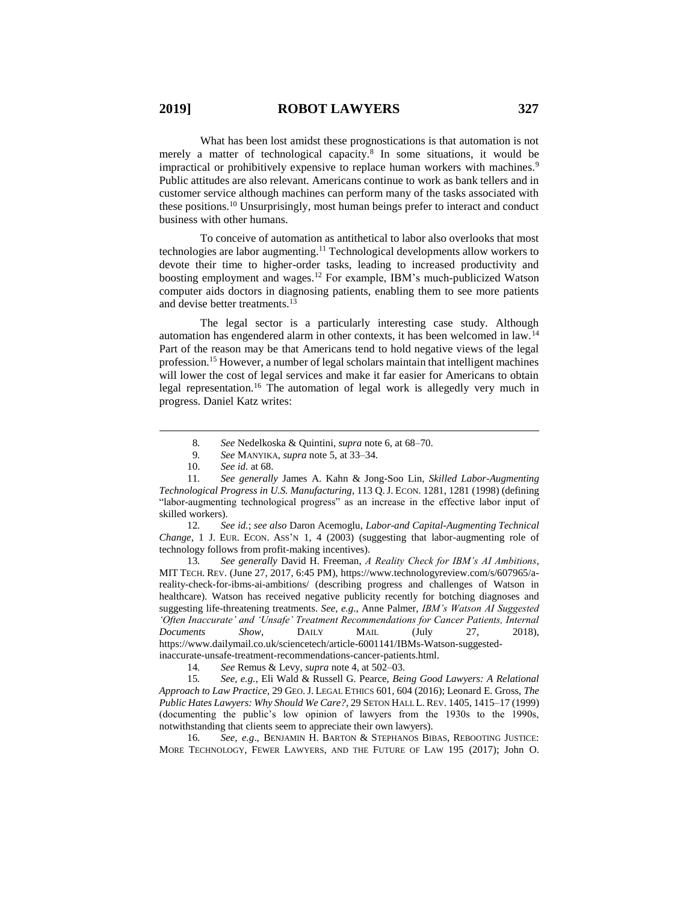What has been lost amidst these prognostications is that automation is not merely a matter of technological capacity.<sup>8</sup> In some situations, it would be impractical or prohibitively expensive to replace human workers with machines.<sup>9</sup> Public attitudes are also relevant. Americans continue to work as bank tellers and in customer service although machines can perform many of the tasks associated with these positions.<sup>10</sup> Unsurprisingly, most human beings prefer to interact and conduct business with other humans.

To conceive of automation as antithetical to labor also overlooks that most technologies are labor augmenting.<sup>11</sup> Technological developments allow workers to devote their time to higher-order tasks, leading to increased productivity and boosting employment and wages.<sup>12</sup> For example, IBM's much-publicized Watson computer aids doctors in diagnosing patients, enabling them to see more patients and devise better treatments.<sup>13</sup>

<span id="page-2-1"></span>The legal sector is a particularly interesting case study. Although automation has engendered alarm in other contexts, it has been welcomed in law.<sup>14</sup> Part of the reason may be that Americans tend to hold negative views of the legal profession.<sup>15</sup> However, a number of legal scholars maintain that intelligent machines will lower the cost of legal services and make it far easier for Americans to obtain legal representation.<sup>16</sup> The automation of legal work is allegedly very much in progress. Daniel Katz writes:

 $\overline{a}$ 

12*. See id.*; *see also* Daron Acemoglu, *Labor-and Capital-Augmenting Technical Change*, 1 J. EUR. ECON. ASS'N 1, 4 (2003) (suggesting that labor-augmenting role of technology follows from profit-making incentives).

13*. See generally* David H. Freeman, *A Reality Check for IBM's AI Ambitions*, MIT TECH. REV. (June 27, 2017, 6:45 PM), https://www.technologyreview.com/s/607965/areality-check-for-ibms-ai-ambitions/ (describing progress and challenges of Watson in healthcare). Watson has received negative publicity recently for botching diagnoses and suggesting life-threatening treatments. *See, e.g*., Anne Palmer, *IBM's Watson AI Suggested 'Often Inaccurate' and 'Unsafe' Treatment Recommendations for Cancer Patients, Internal Documents Show*, DAILY MAIL (July 27, 2018), https://www.dailymail.co.uk/sciencetech/article-6001141/IBMs-Watson-suggestedinaccurate-unsafe-treatment-recommendations-cancer-patients.html.

14*. See* Remus & Levy, *supra* not[e 4,](#page-1-2) at 502–03.

15*. See, e.g.*, Eli Wald & Russell G. Pearce, *Being Good Lawyers: A Relational Approach to Law Practice*, 29 GEO.J. LEGAL ETHICS 601, 604 (2016); Leonard E. Gross, *The Public Hates Lawyers: Why Should We Care?*, 29 SETON HALL L.REV. 1405, 1415–17 (1999) (documenting the public's low opinion of lawyers from the 1930s to the 1990s, notwithstanding that clients seem to appreciate their own lawyers).

16*. See, e.g*., BENJAMIN H. BARTON & STEPHANOS BIBAS, REBOOTING JUSTICE: MORE TECHNOLOGY, FEWER LAWYERS, AND THE FUTURE OF LAW 195 (2017); John O.

<span id="page-2-0"></span><sup>8</sup>*. See* Nedelkoska & Quintini, *supra* not[e 6,](#page-1-0) at 68–70.

<sup>9</sup>*. See* MANYIKA, *supra* note [5,](#page-1-1) at 33–34.

<sup>10.</sup> *See id.* at 68.

<sup>11</sup>*. See generally* James A. Kahn & Jong-Soo Lin, *Skilled Labor-Augmenting Technological Progress in U.S. Manufacturing*, 113 Q.J. ECON. 1281, 1281 (1998) (defining "labor-augmenting technological progress" as an increase in the effective labor input of skilled workers).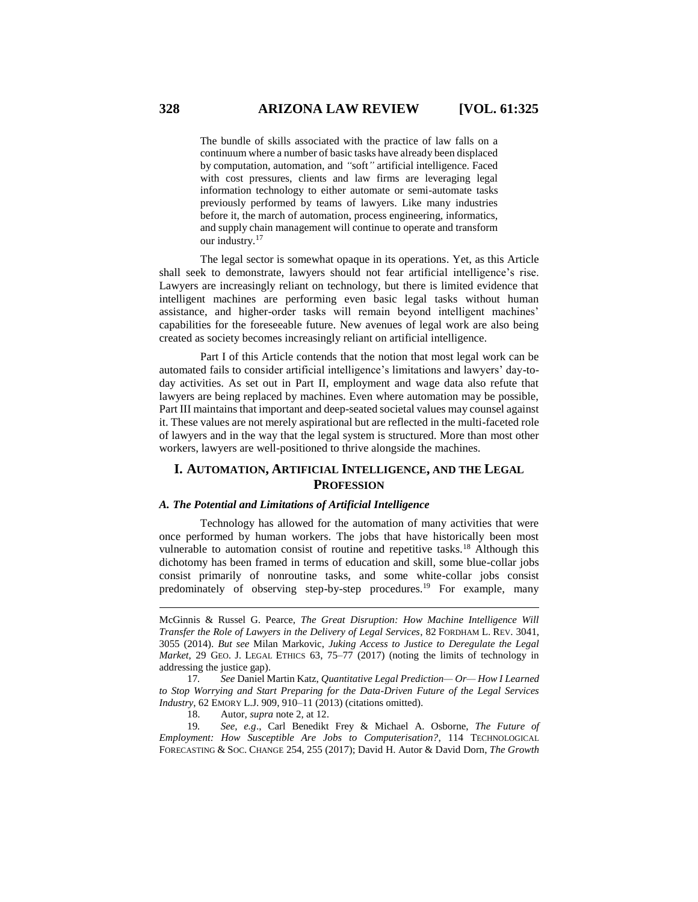The bundle of skills associated with the practice of law falls on a continuum where a number of basic tasks have already been displaced by computation, automation, and *"*soft*"* artificial intelligence. Faced with cost pressures, clients and law firms are leveraging legal information technology to either automate or semi-automate tasks previously performed by teams of lawyers. Like many industries before it, the march of automation, process engineering, informatics, and supply chain management will continue to operate and transform our industry.<sup>17</sup>

<span id="page-3-0"></span>The legal sector is somewhat opaque in its operations. Yet, as this Article shall seek to demonstrate, lawyers should not fear artificial intelligence's rise. Lawyers are increasingly reliant on technology, but there is limited evidence that intelligent machines are performing even basic legal tasks without human assistance, and higher-order tasks will remain beyond intelligent machines' capabilities for the foreseeable future. New avenues of legal work are also being created as society becomes increasingly reliant on artificial intelligence.

Part I of this Article contends that the notion that most legal work can be automated fails to consider artificial intelligence's limitations and lawyers' day-today activities. As set out in Part II, employment and wage data also refute that lawyers are being replaced by machines. Even where automation may be possible, Part III maintains that important and deep-seated societal values may counsel against it. These values are not merely aspirational but are reflected in the multi-faceted role of lawyers and in the way that the legal system is structured. More than most other workers, lawyers are well-positioned to thrive alongside the machines.

## **I. AUTOMATION, ARTIFICIAL INTELLIGENCE, AND THE LEGAL PROFESSION**

#### *A. The Potential and Limitations of Artificial Intelligence*

Technology has allowed for the automation of many activities that were once performed by human workers. The jobs that have historically been most vulnerable to automation consist of routine and repetitive tasks.<sup>18</sup> Although this dichotomy has been framed in terms of education and skill, some blue-collar jobs consist primarily of nonroutine tasks, and some white-collar jobs consist predominately of observing step-by-step procedures.<sup>19</sup> For example, many

18. Autor, *supra* not[e 2,](#page-1-3) at 12.

19*. See, e.g*., Carl Benedikt Frey & Michael A. Osborne, *The Future of Employment: How Susceptible Are Jobs to Computerisation?*, 114 TECHNOLOGICAL FORECASTING & SOC. CHANGE 254, 255 (2017); David H. Autor & David Dorn, *The Growth* 

<span id="page-3-1"></span>McGinnis & Russel G. Pearce, *The Great Disruption: How Machine Intelligence Will Transfer the Role of Lawyers in the Delivery of Legal Services*, 82 FORDHAM L. REV. 3041, 3055 (2014). *But see* Milan Markovic, *Juking Access to Justice to Deregulate the Legal Market*, 29 GEO. J. LEGAL ETHICS 63, 75–77 (2017) (noting the limits of technology in addressing the justice gap).

<sup>17</sup>*. See* Daniel Martin Katz, *Quantitative Legal Prediction— Or— How I Learned to Stop Worrying and Start Preparing for the Data-Driven Future of the Legal Services Industry*, 62 EMORY L.J. 909, 910–11 (2013) (citations omitted).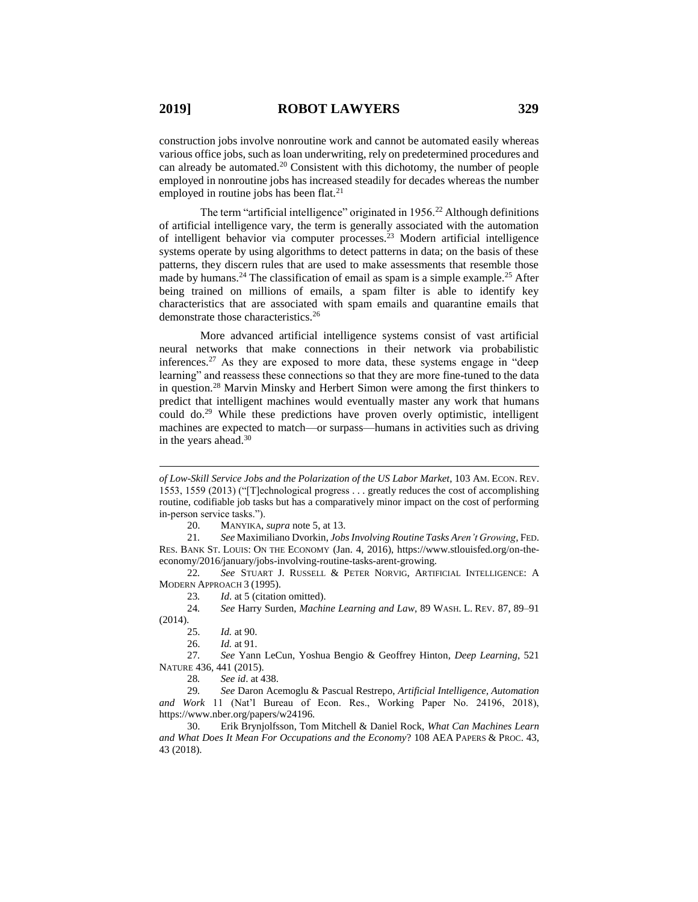construction jobs involve nonroutine work and cannot be automated easily whereas various office jobs, such as loan underwriting, rely on predetermined procedures and can already be automated.<sup>20</sup> Consistent with this dichotomy, the number of people employed in nonroutine jobs has increased steadily for decades whereas the number employed in routine jobs has been flat.<sup>21</sup>

The term "artificial intelligence" originated in 1956.<sup>22</sup> Although definitions of artificial intelligence vary, the term is generally associated with the automation of intelligent behavior via computer processes.<sup>23</sup> Modern artificial intelligence systems operate by using algorithms to detect patterns in data; on the basis of these patterns, they discern rules that are used to make assessments that resemble those made by humans.<sup>24</sup> The classification of email as spam is a simple example.<sup>25</sup> After being trained on millions of emails, a spam filter is able to identify key characteristics that are associated with spam emails and quarantine emails that demonstrate those characteristics.<sup>26</sup>

<span id="page-4-1"></span>More advanced artificial intelligence systems consist of vast artificial neural networks that make connections in their network via probabilistic inferences.<sup>27</sup> As they are exposed to more data, these systems engage in "deep" learning" and reassess these connections so that they are more fine-tuned to the data in question.<sup>28</sup> Marvin Minsky and Herbert Simon were among the first thinkers to predict that intelligent machines would eventually master any work that humans could do.<sup>29</sup> While these predictions have proven overly optimistic, intelligent machines are expected to match—or surpass—humans in activities such as driving in the years ahead.<sup>30</sup>

20. MANYIKA, *supra* not[e 5,](#page-1-1) at 13.

21*. See* Maximiliano Dvorkin, *Jobs Involving Routine Tasks Aren't Growing*, FED. RES. BANK ST. LOUIS: ON THE ECONOMY (Jan. 4, 2016), https://www.stlouisfed.org/on-theeconomy/2016/january/jobs-involving-routine-tasks-arent-growing.

22*. See* STUART J. RUSSELL & PETER NORVIG, ARTIFICIAL INTELLIGENCE: A MODERN APPROACH 3 (1995).

23*. Id*. at 5 (citation omitted).

24*. See* Harry Surden, *Machine Learning and Law*, 89 WASH. L. REV. 87, 89–91 (2014).

25. *Id.* at 90.

26. *Id.* at 91.

27*. See* Yann LeCun, Yoshua Bengio & Geoffrey Hinton, *Deep Learning*, 521 NATURE 436, 441 (2015).

28*. See id*. at 438.

29*. See* Daron Acemoglu & Pascual Restrepo, *Artificial Intelligence, Automation and Work* 11 (Nat'l Bureau of Econ. Res., Working Paper No. 24196, 2018), https://www.nber.org/papers/w24196.

30. Erik Brynjolfsson, Tom Mitchell & Daniel Rock, *What Can Machines Learn and What Does It Mean For Occupations and the Economy*? 108 AEA PAPERS & PROC. 43, 43 (2018).

<span id="page-4-2"></span><span id="page-4-0"></span>*of Low-Skill Service Jobs and the Polarization of the US Labor Market*, 103 AM. ECON. REV. 1553, 1559 (2013) ("[T]echnological progress . . . greatly reduces the cost of accomplishing routine, codifiable job tasks but has a comparatively minor impact on the cost of performing in-person service tasks.").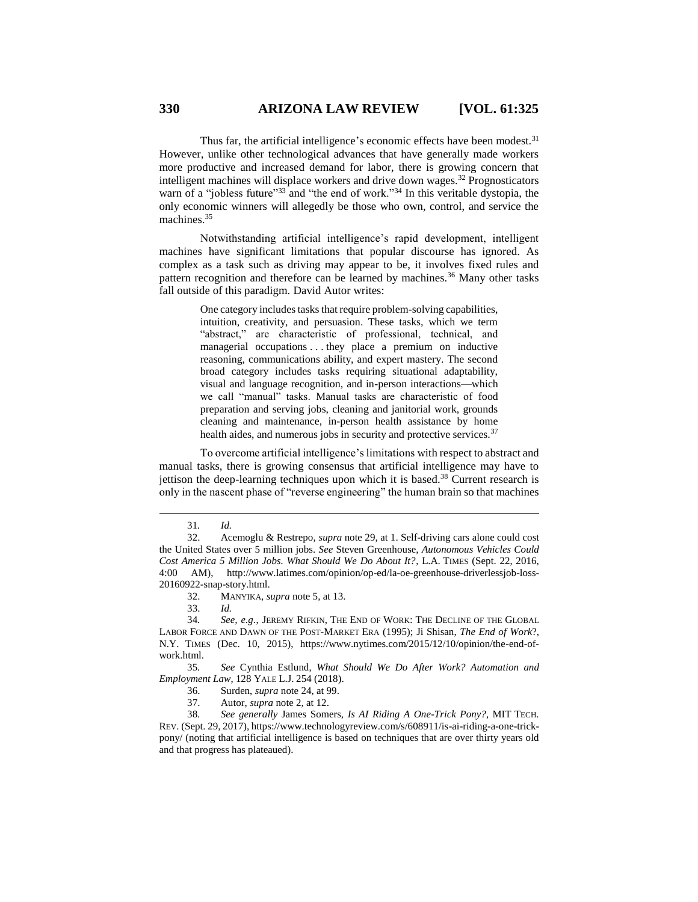Thus far, the artificial intelligence's economic effects have been modest.<sup>31</sup> However, unlike other technological advances that have generally made workers more productive and increased demand for labor, there is growing concern that intelligent machines will displace workers and drive down wages.<sup>32</sup> Prognosticators warn of a "jobless future"<sup>33</sup> and "the end of work."<sup>34</sup> In this veritable dystopia, the only economic winners will allegedly be those who own, control, and service the machines.<sup>35</sup>

Notwithstanding artificial intelligence's rapid development, intelligent machines have significant limitations that popular discourse has ignored. As complex as a task such as driving may appear to be, it involves fixed rules and pattern recognition and therefore can be learned by machines.<sup>36</sup> Many other tasks fall outside of this paradigm. David Autor writes:

> One category includes tasks that require problem-solving capabilities, intuition, creativity, and persuasion. These tasks, which we term "abstract," are characteristic of professional, technical, and managerial occupations . . . they place a premium on inductive reasoning, communications ability, and expert mastery. The second broad category includes tasks requiring situational adaptability, visual and language recognition, and in-person interactions—which we call "manual" tasks. Manual tasks are characteristic of food preparation and serving jobs, cleaning and janitorial work, grounds cleaning and maintenance, in-person health assistance by home health aides, and numerous jobs in security and protective services.<sup>37</sup>

To overcome artificial intelligence's limitations with respect to abstract and manual tasks, there is growing consensus that artificial intelligence may have to jettison the deep-learning techniques upon which it is based.<sup>38</sup> Current research is only in the nascent phase of "reverse engineering" the human brain so that machines

<span id="page-5-0"></span><sup>31</sup>*. Id.*

<sup>32.</sup> Acemoglu & Restrepo, *supra* note [29,](#page-4-0) at 1. Self-driving cars alone could cost the United States over 5 million jobs. *See* Steven Greenhouse, *Autonomous Vehicles Could Cost America 5 Million Jobs. What Should We Do About It?*, L.A. TIMES (Sept. 22, 2016, 4:00 AM), http://www.latimes.com/opinion/op-ed/la-oe-greenhouse-driverlessjob-loss-20160922-snap-story.html.

<sup>32.</sup> MANYIKA, *supra* not[e 5,](#page-1-1) at 13.

<sup>33.</sup> *Id.*

<sup>34</sup>*. See, e.g*., JEREMY RIFKIN, THE END OF WORK: THE DECLINE OF THE GLOBAL LABOR FORCE AND DAWN OF THE POST-MARKET ERA (1995); Ji Shisan, *The End of Work*?, N.Y. TIMES (Dec. 10, 2015), https://www.nytimes.com/2015/12/10/opinion/the-end-ofwork.html.

<sup>35</sup>*. See* Cynthia Estlund, *What Should We Do After Work? Automation and Employment Law*, 128 YALE L.J. 254 (2018).

<sup>36.</sup> Surden, *supra* not[e 24,](#page-4-1) at 99.

<sup>37.</sup> Autor, *supra* not[e 2,](#page-1-3) at 12.

<sup>38</sup>*. See generally* James Somers*, Is AI Riding A One-Trick Pony?*, MIT TECH. REV. (Sept. 29, 2017), https://www.technologyreview.com/s/608911/is-ai-riding-a-one-trickpony/ (noting that artificial intelligence is based on techniques that are over thirty years old and that progress has plateaued).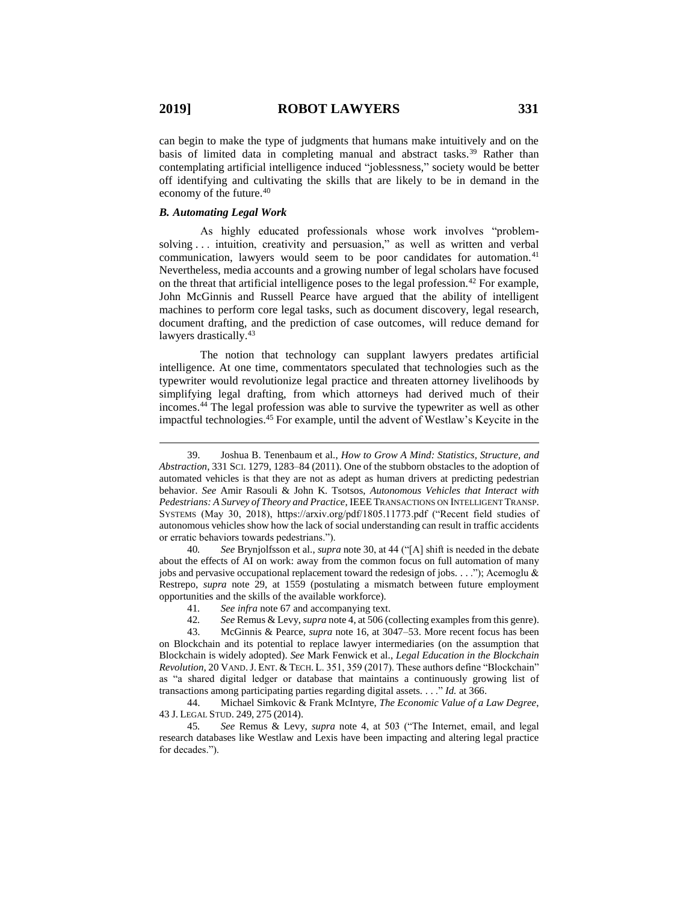can begin to make the type of judgments that humans make intuitively and on the basis of limited data in completing manual and abstract tasks.<sup>39</sup> Rather than contemplating artificial intelligence induced "joblessness," society would be better off identifying and cultivating the skills that are likely to be in demand in the economy of the future.<sup>40</sup>

## *B. Automating Legal Work*

As highly educated professionals whose work involves "problemsolving . . . intuition, creativity and persuasion," as well as written and verbal communication, lawyers would seem to be poor candidates for automation.<sup>41</sup> Nevertheless, media accounts and a growing number of legal scholars have focused on the threat that artificial intelligence poses to the legal profession.<sup>42</sup> For example, John McGinnis and Russell Pearce have argued that the ability of intelligent machines to perform core legal tasks, such as document discovery, legal research, document drafting, and the prediction of case outcomes, will reduce demand for lawyers drastically.<sup>43</sup>

The notion that technology can supplant lawyers predates artificial intelligence. At one time, commentators speculated that technologies such as the typewriter would revolutionize legal practice and threaten attorney livelihoods by simplifying legal drafting, from which attorneys had derived much of their incomes. <sup>44</sup> The legal profession was able to survive the typewriter as well as other impactful technologies. <sup>45</sup> For example, until the advent of Westlaw's Keycite in the

40*. See* Brynjolfsson et al., *supra* note [30,](#page-4-2) at 44 ("[A] shift is needed in the debate about the effects of AI on work: away from the common focus on full automation of many jobs and pervasive occupational replacement toward the redesign of jobs. . . ."); Acemoglu  $\&$ Restrepo, *supra* note [29,](#page-4-0) at 1559 (postulating a mismatch between future employment opportunities and the skills of the available workforce).

44. Michael Simkovic & Frank McIntyre, *The Economic Value of a Law Degree*, 43 J. LEGAL STUD. 249, 275 (2014).

<sup>39.</sup> Joshua B. Tenenbaum et al., *How to Grow A Mind: Statistics, Structure, and Abstraction*, 331 SCI. 1279, 1283–84 (2011). One of the stubborn obstacles to the adoption of automated vehicles is that they are not as adept as human drivers at predicting pedestrian behavior. *See* Amir Rasouli & John K. Tsotsos, *Autonomous Vehicles that Interact with Pedestrians: A Survey of Theory and Practice*, IEEE TRANSACTIONS ON INTELLIGENT TRANSP. SYSTEMS (May 30, 2018), https://arxiv.org/pdf/1805.11773.pdf ("Recent field studies of autonomous vehicles show how the lack of social understanding can result in traffic accidents or erratic behaviors towards pedestrians.").

<sup>41.</sup> *See infra* note 67 and accompanying text.<br>42. *See* Remus & Levy. *supra* note 4. at 506 (c

<sup>42</sup>*. See* Remus & Levy, *supra* not[e 4,](#page-1-2) at 506 (collecting examples from this genre).

<sup>43.</sup> McGinnis & Pearce, *supra* note [16,](#page-2-0) at 3047–53. More recent focus has been on Blockchain and its potential to replace lawyer intermediaries (on the assumption that Blockchain is widely adopted). *See* Mark Fenwick et al., *Legal Education in the Blockchain Revolution*, 20 VAND.J. ENT. & TECH. L. 351, 359 (2017). These authors define "Blockchain" as "a shared digital ledger or database that maintains a continuously growing list of transactions among participating parties regarding digital assets. . . ." *Id.* at 366.

<sup>45</sup>*. See* Remus & Levy, *supra* note [4,](#page-1-2) at 503 ("The Internet, email, and legal research databases like Westlaw and Lexis have been impacting and altering legal practice for decades.").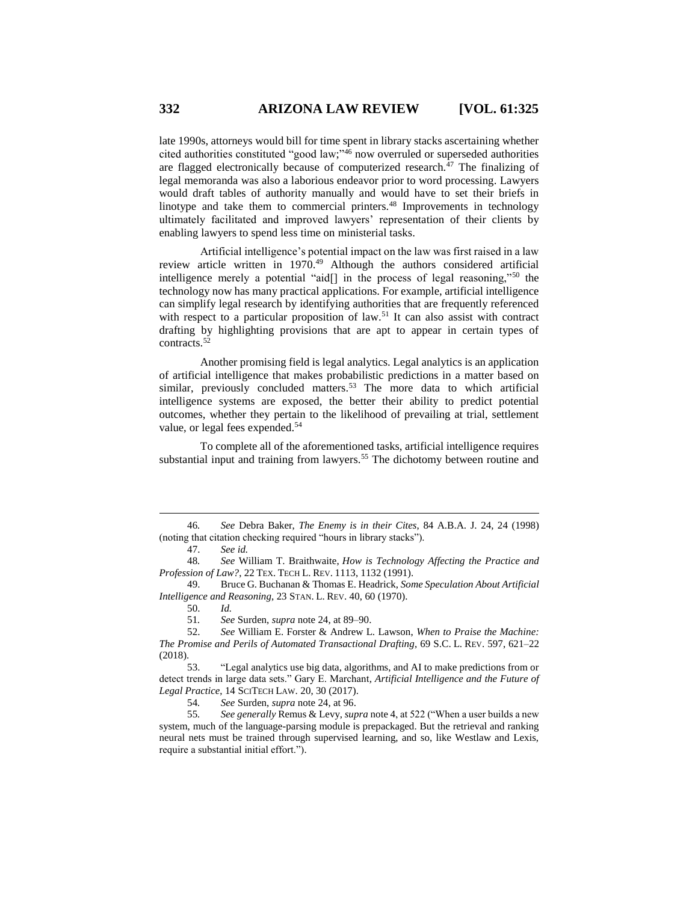late 1990s, attorneys would bill for time spent in library stacks ascertaining whether cited authorities constituted "good law;" <sup>46</sup> now overruled or superseded authorities are flagged electronically because of computerized research.<sup>47</sup> The finalizing of legal memoranda was also a laborious endeavor prior to word processing. Lawyers would draft tables of authority manually and would have to set their briefs in linotype and take them to commercial printers.<sup>48</sup> Improvements in technology ultimately facilitated and improved lawyers' representation of their clients by enabling lawyers to spend less time on ministerial tasks.

Artificial intelligence's potential impact on the law was first raised in a law review article written in 1970.<sup>49</sup> Although the authors considered artificial intelligence merely a potential "aid[] in the process of legal reasoning,"<sup>50</sup> the technology now has many practical applications. For example, artificial intelligence can simplify legal research by identifying authorities that are frequently referenced with respect to a particular proposition of law.<sup>51</sup> It can also assist with contract drafting by highlighting provisions that are apt to appear in certain types of contracts.<sup>52</sup>

Another promising field is legal analytics. Legal analytics is an application of artificial intelligence that makes probabilistic predictions in a matter based on similar, previously concluded matters.<sup>53</sup> The more data to which artificial intelligence systems are exposed, the better their ability to predict potential outcomes, whether they pertain to the likelihood of prevailing at trial, settlement value, or legal fees expended.<sup>54</sup>

To complete all of the aforementioned tasks, artificial intelligence requires substantial input and training from lawyers.<sup>55</sup> The dichotomy between routine and

50. *Id.*

 $\overline{a}$ 

51*. See* Surden, *supra* note [24,](#page-4-1) at 89–90.

54*. See* Surden, *supra* note [24,](#page-4-1) at 96.

55*. See generally* Remus & Levy, *supra* not[e 4,](#page-1-2) at 522 ("When a user builds a new system, much of the language-parsing module is prepackaged. But the retrieval and ranking neural nets must be trained through supervised learning, and so, like Westlaw and Lexis, require a substantial initial effort.").

<sup>46</sup>*. See* Debra Baker, *The Enemy is in their Cites*, 84 A.B.A. J. 24, 24 (1998) (noting that citation checking required "hours in library stacks").

<sup>47.</sup> *See id.*

<sup>48</sup>*. See* William T. Braithwaite, *How is Technology Affecting the Practice and Profession of Law?*, 22 TEX. TECH L. REV. 1113, 1132 (1991).

<sup>49.</sup> Bruce G. Buchanan & Thomas E. Headrick, *Some Speculation About Artificial Intelligence and Reasoning*, 23 STAN. L. REV. 40, 60 (1970).

<sup>52.</sup> *See* William E. Forster & Andrew L. Lawson, *When to Praise the Machine: The Promise and Perils of Automated Transactional Drafting*, 69 S.C. L. REV. 597, 621–22 (2018).

<sup>53.</sup> "Legal analytics use big data, algorithms, and AI to make predictions from or detect trends in large data sets." Gary E. Marchant*, Artificial Intelligence and the Future of Legal Practice*, 14 SCITECH LAW. 20, 30 (2017).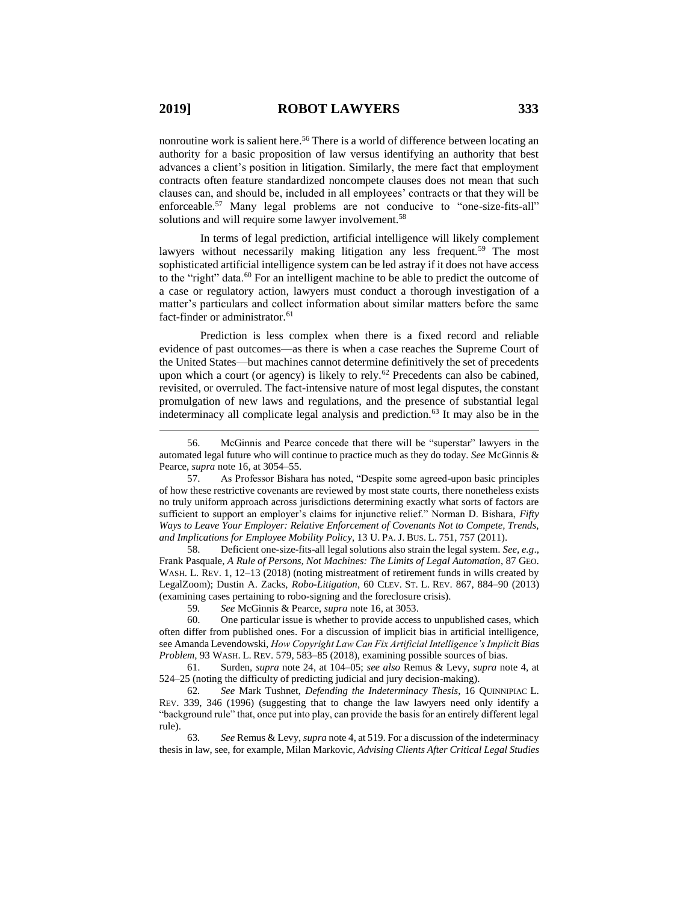nonroutine work is salient here.<sup>56</sup> There is a world of difference between locating an authority for a basic proposition of law versus identifying an authority that best advances a client's position in litigation. Similarly, the mere fact that employment contracts often feature standardized noncompete clauses does not mean that such clauses can, and should be, included in all employees' contracts or that they will be enforceable.<sup>57</sup> Many legal problems are not conducive to "one-size-fits-all" solutions and will require some lawyer involvement.<sup>58</sup>

<span id="page-8-1"></span>In terms of legal prediction, artificial intelligence will likely complement lawyers without necessarily making litigation any less frequent.<sup>59</sup> The most sophisticated artificial intelligence system can be led astray if it does not have access to the "right" data.<sup>60</sup> For an intelligent machine to be able to predict the outcome of a case or regulatory action, lawyers must conduct a thorough investigation of a matter's particulars and collect information about similar matters before the same fact-finder or administrator.<sup>61</sup>

<span id="page-8-0"></span>Prediction is less complex when there is a fixed record and reliable evidence of past outcomes—as there is when a case reaches the Supreme Court of the United States—but machines cannot determine definitively the set of precedents upon which a court (or agency) is likely to rely.<sup>62</sup> Precedents can also be cabined, revisited, or overruled. The fact-intensive nature of most legal disputes, the constant promulgation of new laws and regulations, and the presence of substantial legal indeterminacy all complicate legal analysis and prediction.<sup>63</sup> It may also be in the

58. Deficient one-size-fits-all legal solutions also strain the legal system. *See, e.g*., Frank Pasquale, *A Rule of Persons, Not Machines: The Limits of Legal Automation*, 87 GEO. WASH. L. REV. 1, 12–13 (2018) (noting mistreatment of retirement funds in wills created by LegalZoom); Dustin A. Zacks, *Robo-Litigation*, 60 CLEV. ST. L. REV. 867, 884–90 (2013) (examining cases pertaining to robo-signing and the foreclosure crisis).

59*. See* McGinnis & Pearce, *supra* note [16,](#page-2-0) at 3053.

60. One particular issue is whether to provide access to unpublished cases, which often differ from published ones. For a discussion of implicit bias in artificial intelligence, see Amanda Levendowski, *How Copyright Law Can Fix Artificial Intelligence's Implicit Bias Problem*, 93 WASH. L. REV. 579, 583–85 (2018), examining possible sources of bias.

61. Surden, *supra* note [24,](#page-4-1) at 104–05; *see also* Remus & Levy, *supra* note [4,](#page-1-2) at 524–25 (noting the difficulty of predicting judicial and jury decision-making).

62*. See* Mark Tushnet, *Defending the Indeterminacy Thesis*, 16 QUINNIPIAC L. REV. 339, 346 (1996) (suggesting that to change the law lawyers need only identify a "background rule" that, once put into play, can provide the basis for an entirely different legal rule).

63*. See* Remus & Levy, *supra* not[e 4,](#page-1-2) at 519. For a discussion of the indeterminacy thesis in law, see, for example, Milan Markovic, *Advising Clients After Critical Legal Studies*

<sup>56.</sup> McGinnis and Pearce concede that there will be "superstar" lawyers in the automated legal future who will continue to practice much as they do today. *See* McGinnis & Pearce, *supra* not[e 16,](#page-2-0) at 3054–55.

<sup>57.</sup> As Professor Bishara has noted, "Despite some agreed-upon basic principles of how these restrictive covenants are reviewed by most state courts, there nonetheless exists no truly uniform approach across jurisdictions determining exactly what sorts of factors are sufficient to support an employer's claims for injunctive relief." Norman D. Bishara, *Fifty Ways to Leave Your Employer: Relative Enforcement of Covenants Not to Compete, Trends, and Implications for Employee Mobility Policy*, 13 U. PA. J. BUS. L. 751, 757 (2011).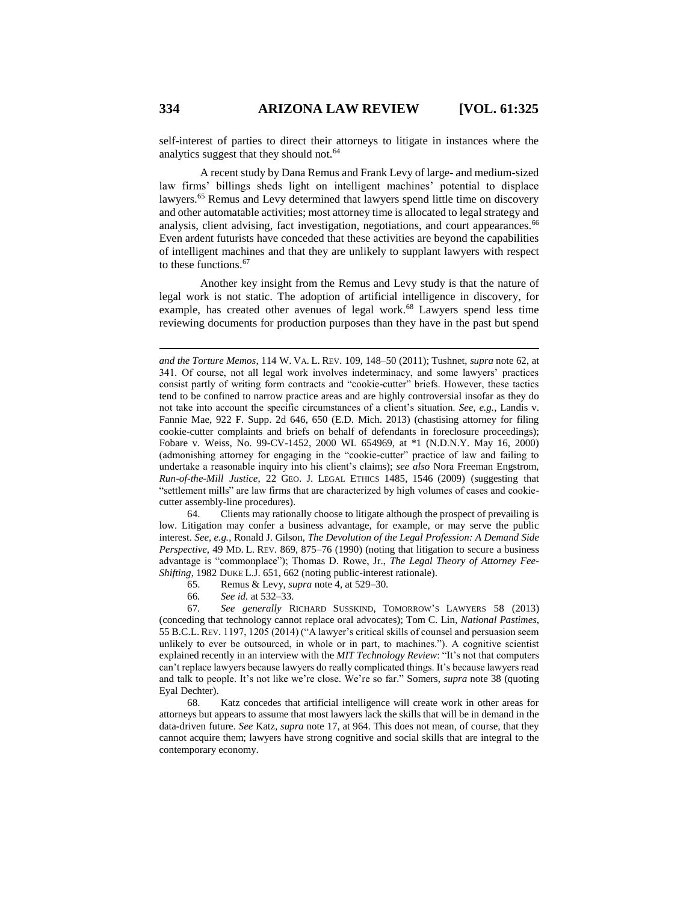self-interest of parties to direct their attorneys to litigate in instances where the analytics suggest that they should not.<sup>64</sup>

A recent study by Dana Remus and Frank Levy of large- and medium-sized law firms' billings sheds light on intelligent machines' potential to displace lawyers.<sup>65</sup> Remus and Levy determined that lawyers spend little time on discovery and other automatable activities; most attorney time is allocated to legal strategy and analysis, client advising, fact investigation, negotiations, and court appearances.<sup>66</sup> Even ardent futurists have conceded that these activities are beyond the capabilities of intelligent machines and that they are unlikely to supplant lawyers with respect to these functions. 67

<span id="page-9-0"></span>Another key insight from the Remus and Levy study is that the nature of legal work is not static. The adoption of artificial intelligence in discovery, for example, has created other avenues of legal work.<sup>68</sup> Lawyers spend less time reviewing documents for production purposes than they have in the past but spend

64. Clients may rationally choose to litigate although the prospect of prevailing is low. Litigation may confer a business advantage, for example, or may serve the public interest. *See*, *e.g.*, Ronald J. Gilson, *The Devolution of the Legal Profession: A Demand Side Perspective*, 49 MD. L. REV. 869, 875–76 (1990) (noting that litigation to secure a business advantage is "commonplace"); Thomas D. Rowe, Jr., *The Legal Theory of Attorney Fee-Shifting*, 1982 DUKE L.J. 651, 662 (noting public-interest rationale).

65. Remus & Levy, *supra* not[e 4,](#page-1-2) at 529–30.

66*. See id.* at 532–33.

67*. See generally* RICHARD SUSSKIND, TOMORROW'S LAWYERS 58 (2013) (conceding that technology cannot replace oral advocates); Tom C. Lin, *National Pastimes*, 55 B.C.L. REV. 1197, 1205 (2014) ("A lawyer's critical skills of counsel and persuasion seem unlikely to ever be outsourced, in whole or in part, to machines."). A cognitive scientist explained recently in an interview with the *MIT Technology Review*: "It's not that computers can't replace lawyers because lawyers do really complicated things. It's because lawyers read and talk to people. It's not like we're close. We're so far." Somers, *supra* note [38](#page-5-0) (quoting Eyal Dechter).

68. Katz concedes that artificial intelligence will create work in other areas for attorneys but appears to assume that most lawyers lack the skills that will be in demand in the data-driven future. *See* Katz, *supra* note [17,](#page-3-0) at 964. This does not mean, of course, that they cannot acquire them; lawyers have strong cognitive and social skills that are integral to the contemporary economy.

*and the Torture Memos*, 114 W. VA. L. REV. 109, 148–50 (2011); Tushnet, *supra* note [62,](#page-8-0) at 341. Of course, not all legal work involves indeterminacy, and some lawyers' practices consist partly of writing form contracts and "cookie-cutter" briefs. However, these tactics tend to be confined to narrow practice areas and are highly controversial insofar as they do not take into account the specific circumstances of a client's situation. *See, e.g.*, Landis v. Fannie Mae, 922 F. Supp. 2d 646, 650 (E.D. Mich. 2013) (chastising attorney for filing cookie-cutter complaints and briefs on behalf of defendants in foreclosure proceedings); Fobare v. Weiss, No. 99-CV-1452, 2000 WL 654969, at \*1 (N.D.N.Y. May 16, 2000) (admonishing attorney for engaging in the "cookie-cutter" practice of law and failing to undertake a reasonable inquiry into his client's claims); *see also* Nora Freeman Engstrom, *Run-of-the-Mill Justice*, 22 GEO. J. LEGAL ETHICS 1485, 1546 (2009) (suggesting that "settlement mills" are law firms that are characterized by high volumes of cases and cookiecutter assembly-line procedures).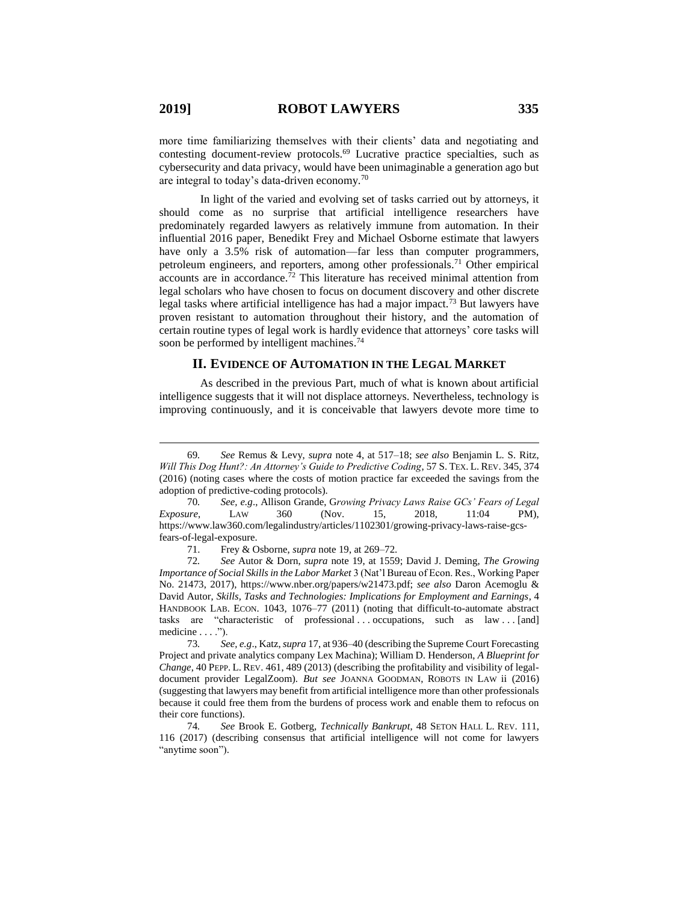more time familiarizing themselves with their clients' data and negotiating and contesting document-review protocols.<sup>69</sup> Lucrative practice specialties, such as cybersecurity and data privacy, would have been unimaginable a generation ago but are integral to today's data-driven economy.<sup>70</sup>

In light of the varied and evolving set of tasks carried out by attorneys, it should come as no surprise that artificial intelligence researchers have predominately regarded lawyers as relatively immune from automation. In their influential 2016 paper, Benedikt Frey and Michael Osborne estimate that lawyers have only a 3.5% risk of automation—far less than computer programmers, petroleum engineers, and reporters, among other professionals.<sup>71</sup> Other empirical accounts are in accordance. $\bar{7}$ <sup>2</sup> This literature has received minimal attention from legal scholars who have chosen to focus on document discovery and other discrete legal tasks where artificial intelligence has had a major impact.<sup>73</sup> But lawyers have proven resistant to automation throughout their history, and the automation of certain routine types of legal work is hardly evidence that attorneys' core tasks will soon be performed by intelligent machines.<sup>74</sup>

### <span id="page-10-0"></span>**II. EVIDENCE OF AUTOMATION IN THE LEGAL MARKET**

As described in the previous Part, much of what is known about artificial intelligence suggests that it will not displace attorneys. Nevertheless, technology is improving continuously, and it is conceivable that lawyers devote more time to

<sup>69</sup>*. See* Remus & Levy, *supra* note [4,](#page-1-2) at 517–18; *see also* Benjamin L. S. Ritz, *Will This Dog Hunt?: An Attorney's Guide to Predictive Coding*, 57 S. TEX. L. REV. 345, 374 (2016) (noting cases where the costs of motion practice far exceeded the savings from the adoption of predictive-coding protocols).

<sup>70</sup>*. See, e.g*., Allison Grande, G*rowing Privacy Laws Raise GCs' Fears of Legal Exposure*, LAW 360 (Nov. 15, 2018, 11:04 PM), https://www.law360.com/legalindustry/articles/1102301/growing-privacy-laws-raise-gcsfears-of-legal-exposure.

<sup>71.</sup> Frey & Osborne, *supra* not[e 19,](#page-3-1) at 269–72.

<sup>72</sup>*. See* Autor & Dorn, *supra* note [19,](#page-3-1) at 1559; David J. Deming, *The Growing Importance of Social Skills in the Labor Market* 3 (Nat'l Bureau of Econ. Res., Working Paper No. 21473, 2017), https://www.nber.org/papers/w21473.pdf; *see also* Daron Acemoglu & David Autor, *Skills, Tasks and Technologies: Implications for Employment and Earnings*, 4 HANDBOOK LAB. ECON. 1043, 1076–77 (2011) (noting that difficult-to-automate abstract tasks are "characteristic of professional ... occupations, such as law ... [and] medicine . . . .").

<sup>73</sup>*. See, e.g*., Katz, *supra* [17,](#page-3-0) at 936–40 (describing the Supreme Court Forecasting Project and private analytics company Lex Machina); William D. Henderson, *A Blueprint for Change*, 40 PEPP. L. REV. 461, 489 (2013) (describing the profitability and visibility of legaldocument provider LegalZoom). *But see* JOANNA GOODMAN, ROBOTS IN LAW ii (2016) (suggesting that lawyers may benefit from artificial intelligence more than other professionals because it could free them from the burdens of process work and enable them to refocus on their core functions).

<sup>74</sup>*. See* Brook E. Gotberg, *Technically Bankrupt*, 48 SETON HALL L. REV. 111, 116 (2017) (describing consensus that artificial intelligence will not come for lawyers "anytime soon").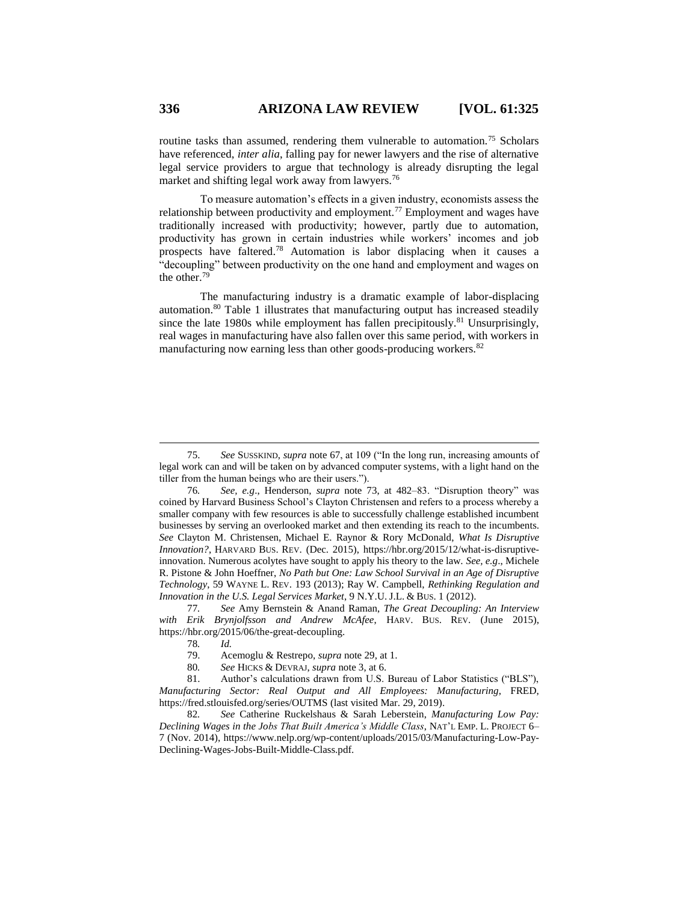routine tasks than assumed, rendering them vulnerable to automation.<sup>75</sup> Scholars have referenced, *inter alia*, falling pay for newer lawyers and the rise of alternative legal service providers to argue that technology is already disrupting the legal market and shifting legal work away from lawyers.<sup>76</sup>

To measure automation's effects in a given industry, economists assess the relationship between productivity and employment.<sup>77</sup> Employment and wages have traditionally increased with productivity; however, partly due to automation, productivity has grown in certain industries while workers' incomes and job prospects have faltered.<sup>78</sup> Automation is labor displacing when it causes a "decoupling" between productivity on the one hand and employment and wages on the other.<sup>79</sup>

The manufacturing industry is a dramatic example of labor-displacing automation.<sup>80</sup> Table 1 illustrates that manufacturing output has increased steadily since the late 1980s while employment has fallen precipitously.<sup>81</sup> Unsurprisingly, real wages in manufacturing have also fallen over this same period, with workers in manufacturing now earning less than other goods-producing workers.<sup>82</sup>

77*. See* Amy Bernstein & Anand Raman, *The Great Decoupling: An Interview with Erik Brynjolfsson and Andrew McAfee*, HARV. BUS. REV. (June 2015), https://hbr.org/2015/06/the-great-decoupling.

<sup>75.</sup> *See* SUSSKIND, *supra* not[e 67,](#page-9-0) at 109 ("In the long run, increasing amounts of legal work can and will be taken on by advanced computer systems, with a light hand on the tiller from the human beings who are their users.").

<sup>76</sup>*. See, e.g*., Henderson, *supra* note [73,](#page-10-0) at 482–83. "Disruption theory" was coined by Harvard Business School's Clayton Christensen and refers to a process whereby a smaller company with few resources is able to successfully challenge established incumbent businesses by serving an overlooked market and then extending its reach to the incumbents. *See* Clayton M. Christensen, Michael E. Raynor & Rory McDonald, *What Is Disruptive Innovation?*, HARVARD BUS. REV. (Dec. 2015), https://hbr.org/2015/12/what-is-disruptiveinnovation. Numerous acolytes have sought to apply his theory to the law. *See, e.g*., Michele R. Pistone & John Hoeffner, *No Path but One: Law School Survival in an Age of Disruptive Technology*, 59 WAYNE L. REV. 193 (2013); Ray W. Campbell, *Rethinking Regulation and Innovation in the U.S. Legal Services Market*, 9 N.Y.U. J.L. & BUS. 1 (2012).

<sup>78</sup>*. Id.*

<sup>79.</sup> Acemoglu & Restrepo, *supra* not[e 29,](#page-4-0) at 1.

<sup>80</sup>*. See* HICKS & DEVRAJ, *supra* note 3, at 6.

<sup>81.</sup> Author's calculations drawn from U.S. Bureau of Labor Statistics ("BLS"), *Manufacturing Sector: Real Output and All Employees: Manufacturing*, FRED, <https://fred.stlouisfed.org/series/OUTMS> (last visited Mar. 29, 2019).

<sup>82</sup>*. See* Catherine Ruckelshaus & Sarah Leberstein, *Manufacturing Low Pay: Declining Wages in the Jobs That Built America's Middle Class*, NAT'L EMP. L. PROJECT 6– 7 (Nov. 2014), https://www.nelp.org/wp-content/uploads/2015/03/Manufacturing-Low-Pay-Declining-Wages-Jobs-Built-Middle-Class.pdf.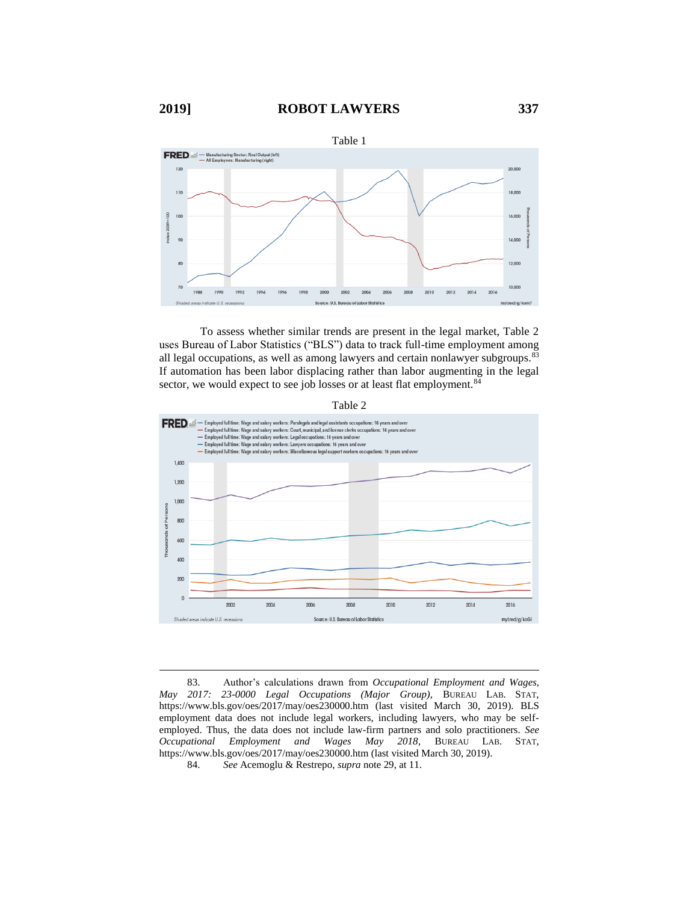

To assess whether similar trends are present in the legal market, Table 2 uses Bureau of Labor Statistics ("BLS") data to track full-time employment among all legal occupations, as well as among lawyers and certain nonlawyer subgroups.<sup>83</sup> If automation has been labor displacing rather than labor augmenting in the legal sector, we would expect to see job losses or at least flat employment.<sup>84</sup>





83. Author's calculations drawn from *Occupational Employment and Wages, May 2017: 23-0000 Legal Occupations (Major Group),* BUREAU LAB. STAT, https://www.bls.gov/oes/2017/may/oes230000.htm (last visited March 30, 2019). BLS employment data does not include legal workers, including lawyers, who may be selfemployed. Thus, the data does not include law-firm partners and solo practitioners. *See Occupational Employment and Wages May 2018*, BUREAU LAB. STAT, https://www.bls.gov/oes/2017/may/oes230000.htm (last visited March 30, 2019).

84. *See* Acemoglu & Restrepo, *supra* not[e 29,](#page-4-0) at 11.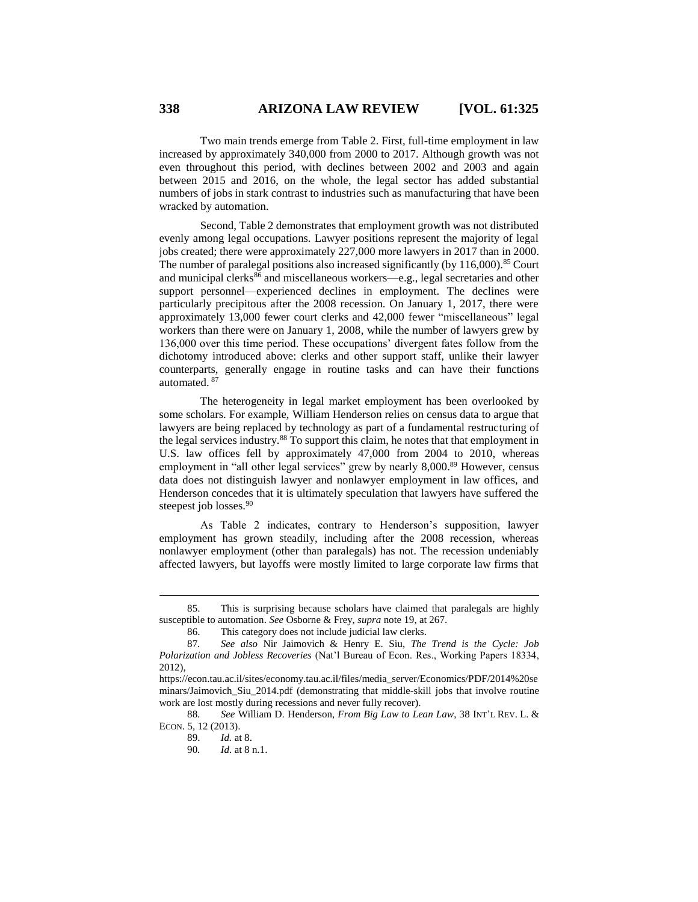Two main trends emerge from Table 2. First, full-time employment in law increased by approximately 340,000 from 2000 to 2017. Although growth was not even throughout this period, with declines between 2002 and 2003 and again between 2015 and 2016, on the whole, the legal sector has added substantial numbers of jobs in stark contrast to industries such as manufacturing that have been wracked by automation.

Second, Table 2 demonstrates that employment growth was not distributed evenly among legal occupations. Lawyer positions represent the majority of legal jobs created; there were approximately 227,000 more lawyers in 2017 than in 2000. The number of paralegal positions also increased significantly (by  $116,000$ ).<sup>85</sup> Court and municipal clerks $^{86}$  and miscellaneous workers—e.g., legal secretaries and other support personnel—experienced declines in employment. The declines were particularly precipitous after the 2008 recession. On January 1, 2017, there were approximately 13,000 fewer court clerks and 42,000 fewer "miscellaneous" legal workers than there were on January 1, 2008, while the number of lawyers grew by 136,000 over this time period. These occupations' divergent fates follow from the dichotomy introduced above: clerks and other support staff, unlike their lawyer counterparts, generally engage in routine tasks and can have their functions automated. <sup>87</sup>

The heterogeneity in legal market employment has been overlooked by some scholars. For example, William Henderson relies on census data to argue that lawyers are being replaced by technology as part of a fundamental restructuring of the legal services industry.<sup>88</sup> To support this claim, he notes that that employment in U.S. law offices fell by approximately 47,000 from 2004 to 2010, whereas employment in "all other legal services" grew by nearly 8,000.<sup>89</sup> However, census data does not distinguish lawyer and nonlawyer employment in law offices, and Henderson concedes that it is ultimately speculation that lawyers have suffered the steepest job losses.<sup>90</sup>

As Table 2 indicates, contrary to Henderson's supposition, lawyer employment has grown steadily, including after the 2008 recession, whereas nonlawyer employment (other than paralegals) has not. The recession undeniably affected lawyers, but layoffs were mostly limited to large corporate law firms that

88*. See* William D. Henderson, *From Big Law to Lean Law*, 38 INT'L REV. L. & ECON. 5, 12 (2013).

<sup>85.</sup> This is surprising because scholars have claimed that paralegals are highly susceptible to automation. *See* Osborne & Frey, *supra* not[e 19,](#page-3-1) at 267.

<sup>86.</sup> This category does not include judicial law clerks.

<sup>87</sup>*. See also* Nir Jaimovich & Henry E. Siu, *The Trend is the Cycle: Job Polarization and Jobless Recoveries* (Nat'l Bureau of Econ. Res., Working Papers 18334, 2012),

https://econ.tau.ac.il/sites/economy.tau.ac.il/files/media\_server/Economics/PDF/2014%20se minars/Jaimovich\_Siu\_2014.pdf (demonstrating that middle-skill jobs that involve routine work are lost mostly during recessions and never fully recover).

<sup>89.</sup> *Id.* at 8.

<sup>90</sup>*. Id*. at 8 n.1.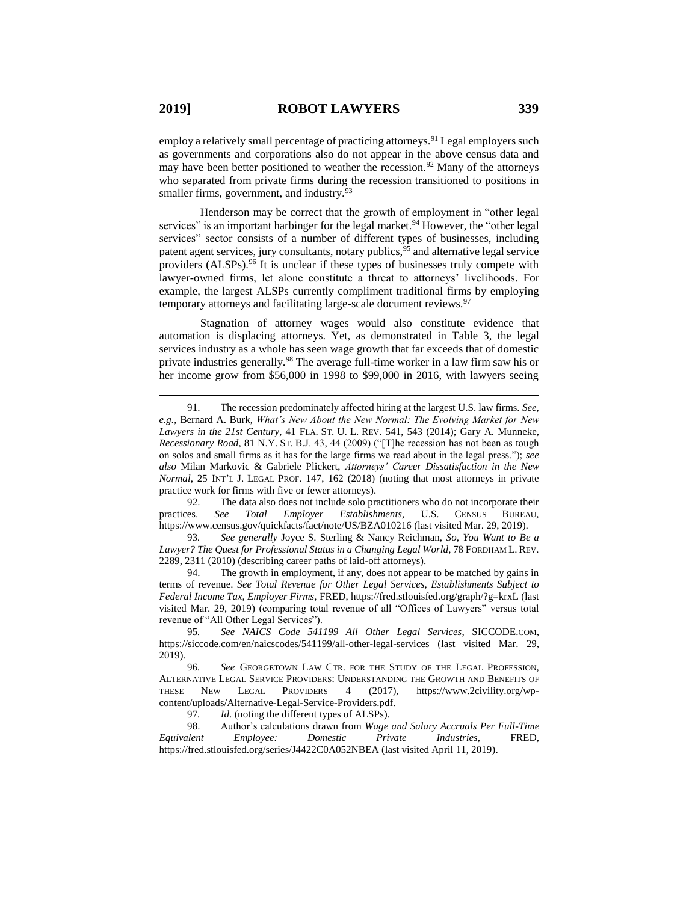employ a relatively small percentage of practicing attorneys.<sup>91</sup> Legal employers such as governments and corporations also do not appear in the above census data and may have been better positioned to weather the recession.<sup>92</sup> Many of the attorneys who separated from private firms during the recession transitioned to positions in smaller firms, government, and industry.<sup>93</sup>

Henderson may be correct that the growth of employment in "other legal services" is an important harbinger for the legal market.<sup>94</sup> However, the "other legal services" sector consists of a number of different types of businesses, including patent agent services, jury consultants, notary publics,  $95$  and alternative legal service providers (ALSPs).<sup>96</sup> It is unclear if these types of businesses truly compete with lawyer-owned firms, let alone constitute a threat to attorneys' livelihoods. For example, the largest ALSPs currently compliment traditional firms by employing temporary attorneys and facilitating large-scale document reviews.<sup>97</sup>

Stagnation of attorney wages would also constitute evidence that automation is displacing attorneys. Yet, as demonstrated in Table 3, the legal services industry as a whole has seen wage growth that far exceeds that of domestic private industries generally.<sup>98</sup> The average full-time worker in a law firm saw his or her income grow from \$56,000 in 1998 to \$99,000 in 2016, with lawyers seeing

92. The data also does not include solo practitioners who do not incorporate their practices. *See Total Employer Establishments*, U.S. CENSUS BUREAU, https://www.census.gov/quickfacts/fact/note/US/BZA010216 (last visited Mar. 29, 2019)*.*

93*. See generally* Joyce S. Sterling & Nancy Reichman, *So, You Want to Be a Lawyer? The Quest for Professional Status in a Changing Legal World*, 78 FORDHAM L. REV. 2289, 2311 (2010) (describing career paths of laid-off attorneys).

94. The growth in employment, if any, does not appear to be matched by gains in terms of revenue. *See Total Revenue for Other Legal Services, Establishments Subject to Federal Income Tax, Employer Firms*, FRED, https://fred.stlouisfed.org/graph/?g=krxL (last visited Mar. 29, 2019) (comparing total revenue of all "Offices of Lawyers" versus total revenue of "All Other Legal Services").

97*. Id*. (noting the different types of ALSPs).

98. Author's calculations drawn from *Wage and Salary Accruals Per Full-Time Equivalent Employee: Domestic Private Industries*, FRED, https://fred.stlouisfed.org/series/J4422C0A052NBEA (last visited April 11, 2019).

<sup>91.</sup> The recession predominately affected hiring at the largest U.S. law firms. *See, e.g.*, Bernard A. Burk, *What's New About the New Normal: The Evolving Market for New Lawyers in the 21st Century*, 41 FLA. ST. U. L. REV. 541, 543 (2014); Gary A. Munneke, *Recessionary Road*, 81 N.Y. ST. B.J. 43, 44 (2009) ("[T]he recession has not been as tough on solos and small firms as it has for the large firms we read about in the legal press."); *see also* Milan Markovic & Gabriele Plickert, *Attorneys' Career Dissatisfaction in the New Normal*, 25 INT'L J. LEGAL PROF. 147, 162 (2018) (noting that most attorneys in private practice work for firms with five or fewer attorneys).

<sup>95</sup>*. See NAICS Code 541199 All Other Legal Services*, SICCODE.COM, https://siccode.com/en/naicscodes/541199/all-other-legal-services (last visited Mar. 29, 2019)*.*

<sup>96</sup>*. See* GEORGETOWN LAW CTR. FOR THE STUDY OF THE LEGAL PROFESSION, ALTERNATIVE LEGAL SERVICE PROVIDERS: UNDERSTANDING THE GROWTH AND BENEFITS OF THESE NEW LEGAL PROVIDERS 4 (2017), https://www.2civility.org/wpcontent/uploads/Alternative-Legal-Service-Providers.pdf.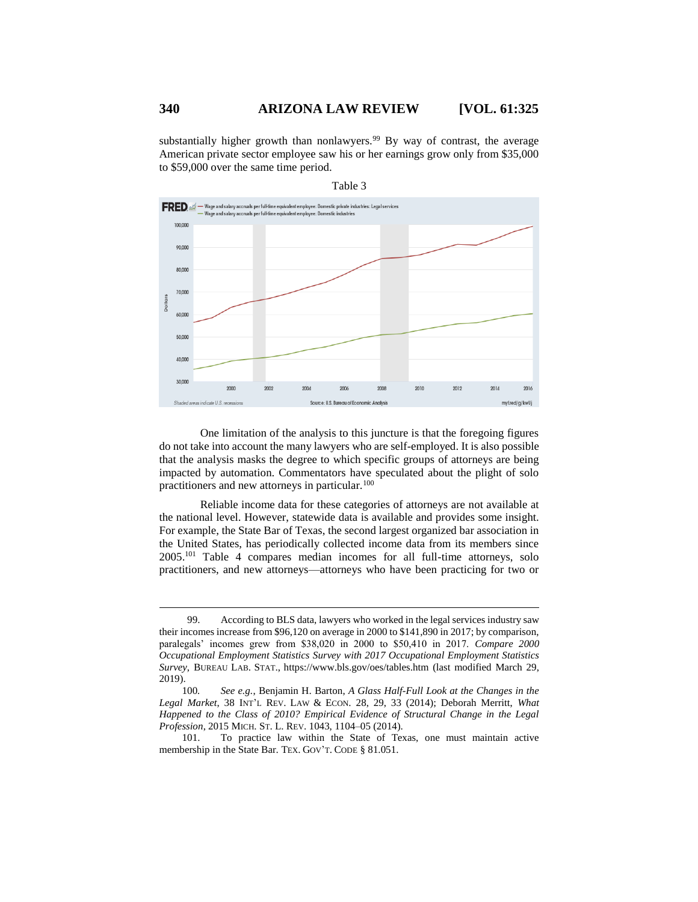substantially higher growth than nonlawyers.<sup>99</sup> By way of contrast, the average American private sector employee saw his or her earnings grow only from \$35,000 to \$59,000 over the same time period.



Table 3

One limitation of the analysis to this juncture is that the foregoing figures do not take into account the many lawyers who are self-employed. It is also possible that the analysis masks the degree to which specific groups of attorneys are being impacted by automation. Commentators have speculated about the plight of solo practitioners and new attorneys in particular.<sup>100</sup>

<span id="page-15-0"></span>Reliable income data for these categories of attorneys are not available at the national level. However, statewide data is available and provides some insight. For example, the State Bar of Texas, the second largest organized bar association in the United States, has periodically collected income data from its members since 2005. <sup>101</sup> Table 4 compares median incomes for all full-time attorneys, solo practitioners, and new attorneys—attorneys who have been practicing for two or

101. To practice law within the State of Texas, one must maintain active membership in the State Bar. TEX. GOV'T. CODE § 81.051.

<sup>99.</sup> According to BLS data, lawyers who worked in the legal services industry saw their incomes increase from \$96,120 on average in 2000 to \$141,890 in 2017; by comparison, paralegals' incomes grew from \$38,020 in 2000 to \$50,410 in 2017. *Compare 2000 Occupational Employment Statistics Survey with 2017 Occupational Employment Statistics Survey*, BUREAU LAB. STAT., https://www.bls.gov/oes/tables.htm (last modified March 29, 2019).

<sup>100</sup>*. See e.g.*, Benjamin H. Barton, *A Glass Half-Full Look at the Changes in the Legal Market*, 38 INT'L REV. LAW & ECON. 28, 29, 33 (2014); Deborah Merritt, *What Happened to the Class of 2010? Empirical Evidence of Structural Change in the Legal Profession*, 2015 MICH. ST. L. REV. 1043, 1104–05 (2014).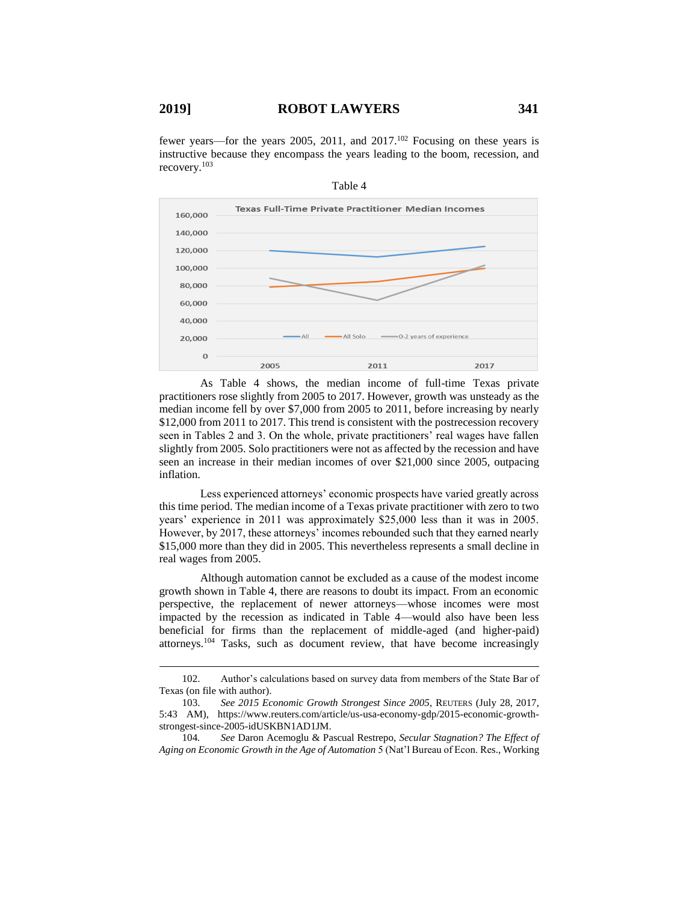fewer years—for the years 2005, 2011, and 2017.<sup>102</sup> Focusing on these years is instructive because they encompass the years leading to the boom, recession, and recovery.<sup>103</sup>



Table 4

As Table 4 shows, the median income of full-time Texas private practitioners rose slightly from 2005 to 2017. However, growth was unsteady as the median income fell by over \$7,000 from 2005 to 2011, before increasing by nearly \$12,000 from 2011 to 2017. This trend is consistent with the postrecession recovery seen in Tables 2 and 3. On the whole, private practitioners' real wages have fallen slightly from 2005. Solo practitioners were not as affected by the recession and have seen an increase in their median incomes of over \$21,000 since 2005, outpacing inflation.

Less experienced attorneys' economic prospects have varied greatly across this time period. The median income of a Texas private practitioner with zero to two years' experience in 2011 was approximately \$25,000 less than it was in 2005. However, by 2017, these attorneys' incomes rebounded such that they earned nearly \$15,000 more than they did in 2005. This nevertheless represents a small decline in real wages from 2005.

Although automation cannot be excluded as a cause of the modest income growth shown in Table 4, there are reasons to doubt its impact. From an economic perspective, the replacement of newer attorneys—whose incomes were most impacted by the recession as indicated in Table 4—would also have been less beneficial for firms than the replacement of middle-aged (and higher-paid) attorneys.<sup>104</sup> Tasks, such as document review, that have become increasingly

<sup>102.</sup> Author's calculations based on survey data from members of the State Bar of Texas (on file with author).

<sup>103.</sup> *See 2015 Economic Growth Strongest Since 2005*, REUTERS (July 28, 2017, 5:43 AM), https://www.reuters.com/article/us-usa-economy-gdp/2015-economic-growthstrongest-since-2005-idUSKBN1AD1JM.

<sup>104</sup>*. See* Daron Acemoglu & Pascual Restrepo, *Secular Stagnation? The Effect of Aging on Economic Growth in the Age of Automation* 5 (Nat'l Bureau of Econ. Res., Working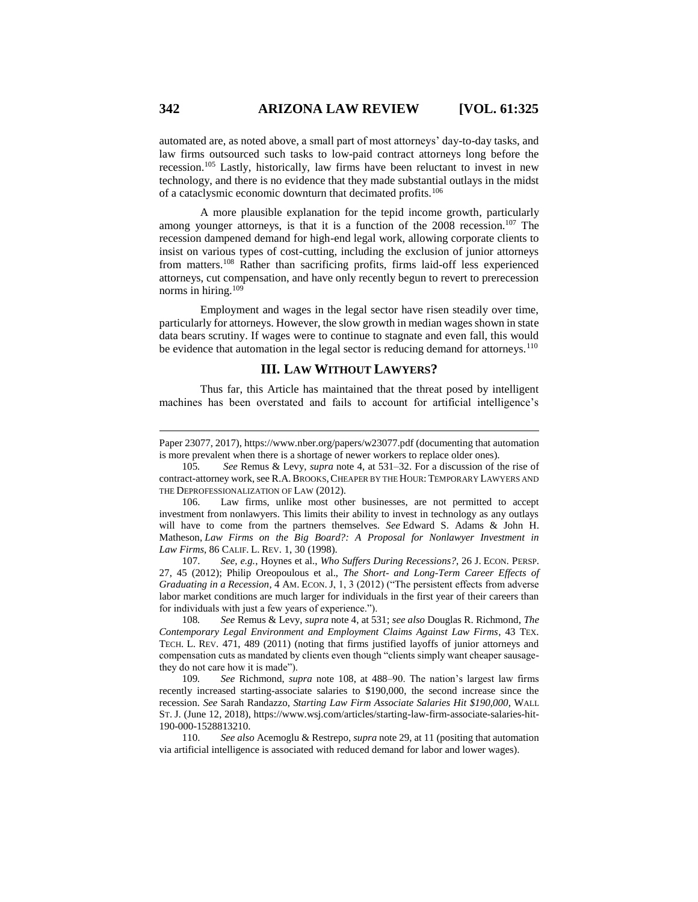automated are, as noted above, a small part of most attorneys' day-to-day tasks, and law firms outsourced such tasks to low-paid contract attorneys long before the recession.<sup>105</sup> Lastly, historically, law firms have been reluctant to invest in new technology, and there is no evidence that they made substantial outlays in the midst of a cataclysmic economic downturn that decimated profits.<sup>106</sup>

A more plausible explanation for the tepid income growth, particularly among younger attorneys, is that it is a function of the  $2008$  recession.<sup>107</sup> The recession dampened demand for high-end legal work, allowing corporate clients to insist on various types of cost-cutting, including the exclusion of junior attorneys from matters.<sup>108</sup> Rather than sacrificing profits, firms laid-off less experienced attorneys, cut compensation, and have only recently begun to revert to prerecession norms in hiring.<sup>109</sup>

<span id="page-17-0"></span>Employment and wages in the legal sector have risen steadily over time, particularly for attorneys. However, the slow growth in median wages shown in state data bears scrutiny. If wages were to continue to stagnate and even fall, this would be evidence that automation in the legal sector is reducing demand for attorneys.<sup>110</sup>

## **III. LAW WITHOUT LAWYERS?**

Thus far, this Article has maintained that the threat posed by intelligent machines has been overstated and fails to account for artificial intelligence's

107. *See, e.g.*, Hoynes et al., *Who Suffers During Recessions?*, 26 J. ECON. PERSP. 27, 45 (2012); Philip Oreopoulous et al., *The Short- and Long-Term Career Effects of Graduating in a Recession, 4 AM. ECON. J, 1, 3 (2012)* ("The persistent effects from adverse labor market conditions are much larger for individuals in the first year of their careers than for individuals with just a few years of experience.").

108*. See* Remus & Levy, *supra* not[e 4,](#page-1-2) at 531; *see also* Douglas R. Richmond, *The Contemporary Legal Environment and Employment Claims Against Law Firms*, 43 TEX. TECH. L. REV. 471, 489 (2011) (noting that firms justified layoffs of junior attorneys and compensation cuts as mandated by clients even though "clients simply want cheaper sausagethey do not care how it is made").

109*. See* Richmond, *supra* note [108,](#page-17-0) at 488–90. The nation's largest law firms recently increased starting-associate salaries to \$190,000, the second increase since the recession. *See* Sarah Randazzo, *Starting Law Firm Associate Salaries Hit \$190,000*, WALL ST. J. (June 12, 2018), https://www.wsj.com/articles/starting-law-firm-associate-salaries-hit-190-000-1528813210.

110. *See also* Acemoglu & Restrepo, *supra* not[e 29,](#page-4-0) at 11 (positing that automation via artificial intelligence is associated with reduced demand for labor and lower wages).

Paper 23077, 2017), https://www.nber.org/papers/w23077.pdf (documenting that automation is more prevalent when there is a shortage of newer workers to replace older ones).

<sup>105</sup>*. See* Remus & Levy, *supra* note [4,](#page-1-2) at 531–32. For a discussion of the rise of contract-attorney work, see R.A.BROOKS,CHEAPER BY THE HOUR: TEMPORARY LAWYERS AND THE DEPROFESSIONALIZATION OF LAW (2012).

<sup>106.</sup> Law firms, unlike most other businesses, are not permitted to accept investment from nonlawyers. This limits their ability to invest in technology as any outlays will have to come from the partners themselves. *See* Edward S. Adams & John H. Matheson, *Law Firms on the Big Board?: A Proposal for Nonlawyer Investment in Law Firms*, 86 CALIF. L. REV. 1, 30 (1998).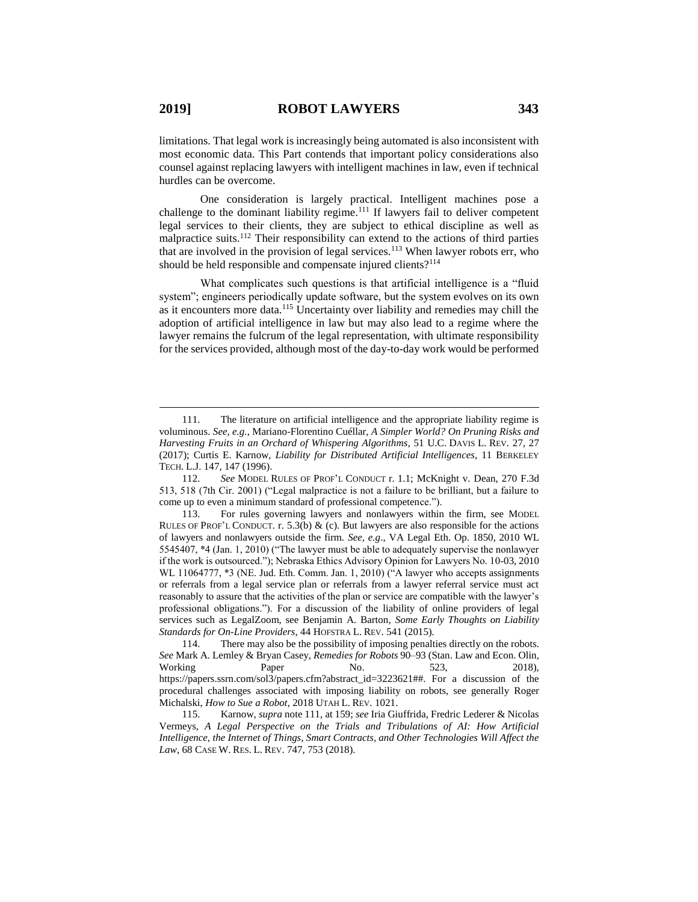limitations. That legal work is increasingly being automated is also inconsistent with most economic data. This Part contends that important policy considerations also counsel against replacing lawyers with intelligent machines in law, even if technical hurdles can be overcome.

<span id="page-18-0"></span>One consideration is largely practical. Intelligent machines pose a challenge to the dominant liability regime.<sup>111</sup> If lawyers fail to deliver competent legal services to their clients, they are subject to ethical discipline as well as malpractice suits.<sup>112</sup> Their responsibility can extend to the actions of third parties that are involved in the provision of legal services.<sup>113</sup> When lawyer robots err, who should be held responsible and compensate injured clients?<sup>114</sup>

What complicates such questions is that artificial intelligence is a "fluid" system"; engineers periodically update software, but the system evolves on its own as it encounters more data.<sup>115</sup> Uncertainty over liability and remedies may chill the adoption of artificial intelligence in law but may also lead to a regime where the lawyer remains the fulcrum of the legal representation, with ultimate responsibility for the services provided, although most of the day-to-day work would be performed

<sup>111.</sup> The literature on artificial intelligence and the appropriate liability regime is voluminous. *See, e.g.*, Mariano-Florentino Cuéllar, *A Simpler World? On Pruning Risks and Harvesting Fruits in an Orchard of Whispering Algorithms*, 51 U.C. DAVIS L. REV. 27, 27 (2017); Curtis E. Karnow, *Liability for Distributed Artificial Intelligences*, 11 BERKELEY TECH. L.J. 147, 147 (1996).

<sup>112.</sup> *See* MODEL RULES OF PROF'L CONDUCT r. 1.1; McKnight v. Dean, 270 F.3d 513, 518 (7th Cir. 2001) ("Legal malpractice is not a failure to be brilliant, but a failure to come up to even a minimum standard of professional competence.").

<sup>113.</sup> For rules governing lawyers and nonlawyers within the firm, see MODEL RULES OF PROF'L CONDUCT. r. 5.3(b) & (c). But lawyers are also responsible for the actions of lawyers and nonlawyers outside the firm. *See, e.g*., VA Legal Eth. Op. 1850, 2010 WL 5545407, \*4 (Jan. 1, 2010) ("The lawyer must be able to adequately supervise the nonlawyer if the work is outsourced."); Nebraska Ethics Advisory Opinion for Lawyers No. 10-03, 2010 WL 11064777, \*3 (NE. Jud. Eth. Comm. Jan. 1, 2010) ("A lawyer who accepts assignments or referrals from a legal service plan or referrals from a lawyer referral service must act reasonably to assure that the activities of the plan or service are compatible with the lawyer's professional obligations."). For a discussion of the liability of online providers of legal services such as LegalZoom, see Benjamin A. Barton, *Some Early Thoughts on Liability Standards for On-Line Providers*, 44 HOFSTRA L. REV. 541 (2015).

<sup>114.</sup> There may also be the possibility of imposing penalties directly on the robots. *See* Mark A. Lemley & Bryan Casey, *Remedies for Robots* 90–93 (Stan. Law and Econ. Olin, Working Paper No. 523, 2018), https://papers.ssrn.com/sol3/papers.cfm?abstract\_id=3223621##. For a discussion of the procedural challenges associated with imposing liability on robots, see generally Roger Michalski, *How to Sue a Robot*, 2018 UTAH L. REV. 1021.

<sup>115.</sup> Karnow, *supra* not[e 111,](#page-18-0) at 159; *see* Iria Giuffrida, Fredric Lederer & Nicolas Vermeys, *A Legal Perspective on the Trials and Tribulations of AI: How Artificial Intelligence, the Internet of Things, Smart Contracts, and Other Technologies Will Affect the Law*, 68 CASE W. RES. L. REV. 747, 753 (2018).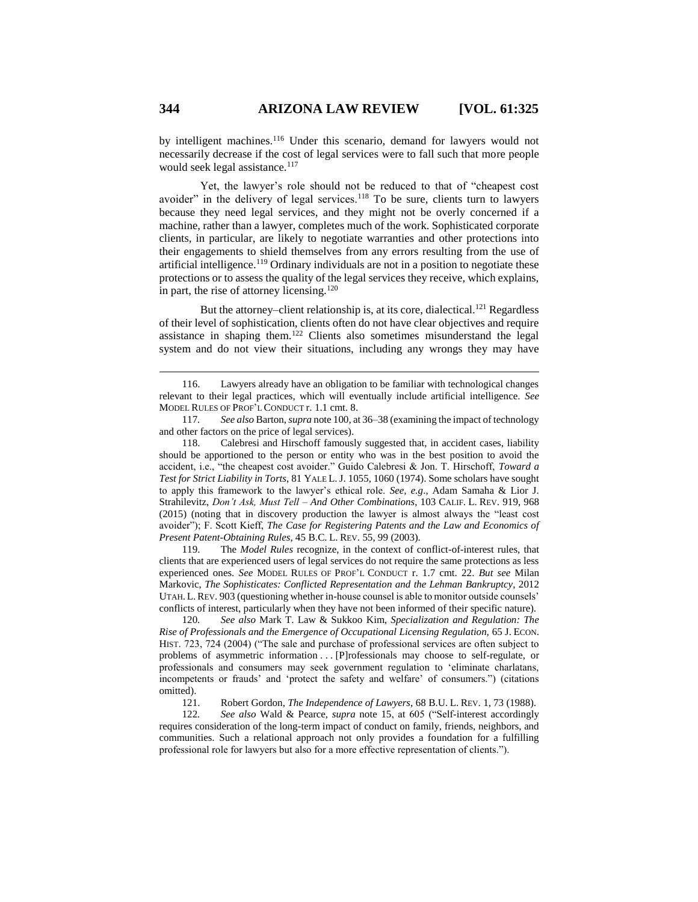by intelligent machines.<sup>116</sup> Under this scenario, demand for lawyers would not necessarily decrease if the cost of legal services were to fall such that more people would seek legal assistance.<sup>117</sup>

Yet, the lawyer's role should not be reduced to that of "cheapest cost avoider" in the delivery of legal services.<sup>118</sup> To be sure, clients turn to lawyers because they need legal services, and they might not be overly concerned if a machine, rather than a lawyer, completes much of the work. Sophisticated corporate clients, in particular, are likely to negotiate warranties and other protections into their engagements to shield themselves from any errors resulting from the use of artificial intelligence.<sup>119</sup> Ordinary individuals are not in a position to negotiate these protections or to assess the quality of the legal services they receive, which explains, in part, the rise of attorney licensing.<sup>120</sup>

But the attorney–client relationship is, at its core, dialectical.<sup>121</sup> Regardless of their level of sophistication, clients often do not have clear objectives and require assistance in shaping them.<sup>122</sup> Clients also sometimes misunderstand the legal system and do not view their situations, including any wrongs they may have

118. Calebresi and Hirschoff famously suggested that, in accident cases, liability should be apportioned to the person or entity who was in the best position to avoid the accident, i.e., "the cheapest cost avoider." Guido Calebresi & Jon. T. Hirschoff, *Toward a Test for Strict Liability in Torts*, 81 YALE L.J. 1055, 1060 (1974). Some scholars have sought to apply this framework to the lawyer's ethical role. *See, e.g*., Adam Samaha & Lior J. Strahilevitz, *Don't Ask, Must Tell – And Other Combinations*, 103 CALIF. L. REV. 919, 968 (2015) (noting that in discovery production the lawyer is almost always the "least cost avoider"); F. Scott Kieff, *The Case for Registering Patents and the Law and Economics of Present Patent-Obtaining Rules*, 45 B.C. L. REV. 55, 99 (2003).

119. The *Model Rules* recognize, in the context of conflict-of-interest rules, that clients that are experienced users of legal services do not require the same protections as less experienced ones. *See* MODEL RULES OF PROF'L CONDUCT r. 1.7 cmt. 22. *But see* Milan Markovic, *The Sophisticates: Conflicted Representation and the Lehman Bankruptcy*, 2012 UTAH. L.REV. 903 (questioning whether in-house counsel is able to monitor outside counsels' conflicts of interest, particularly when they have not been informed of their specific nature).

120*. See also* Mark T. Law & Sukkoo Kim, *Specialization and Regulation: The Rise of Professionals and the Emergence of Occupational Licensing Regulation,* 65 J. ECON. HIST. 723, 724 (2004) ("The sale and purchase of professional services are often subject to problems of asymmetric information . . . [P]rofessionals may choose to self-regulate, or professionals and consumers may seek government regulation to 'eliminate charlatans, incompetents or frauds' and 'protect the safety and welfare' of consumers.") (citations omitted).

121. Robert Gordon, *The Independence of Lawyers*, 68 B.U. L. REV. 1, 73 (1988).<br>122. See also Wald & Pearce, *supra* note 15, at 605 ("Self-interest accordingly 122*. See also* Wald & Pearce, *supra* note [15,](#page-2-1) at 605 ("Self-interest accordingly requires consideration of the long-term impact of conduct on family, friends, neighbors, and communities. Such a relational approach not only provides a foundation for a fulfilling professional role for lawyers but also for a more effective representation of clients.").

<sup>116.</sup> Lawyers already have an obligation to be familiar with technological changes relevant to their legal practices, which will eventually include artificial intelligence. *See* MODEL RULES OF PROF'L CONDUCT r. 1.1 cmt. 8.

<sup>117</sup>*. See also* Barton, *supra* not[e 100,](#page-15-0) at 36–38 (examining the impact of technology and other factors on the price of legal services).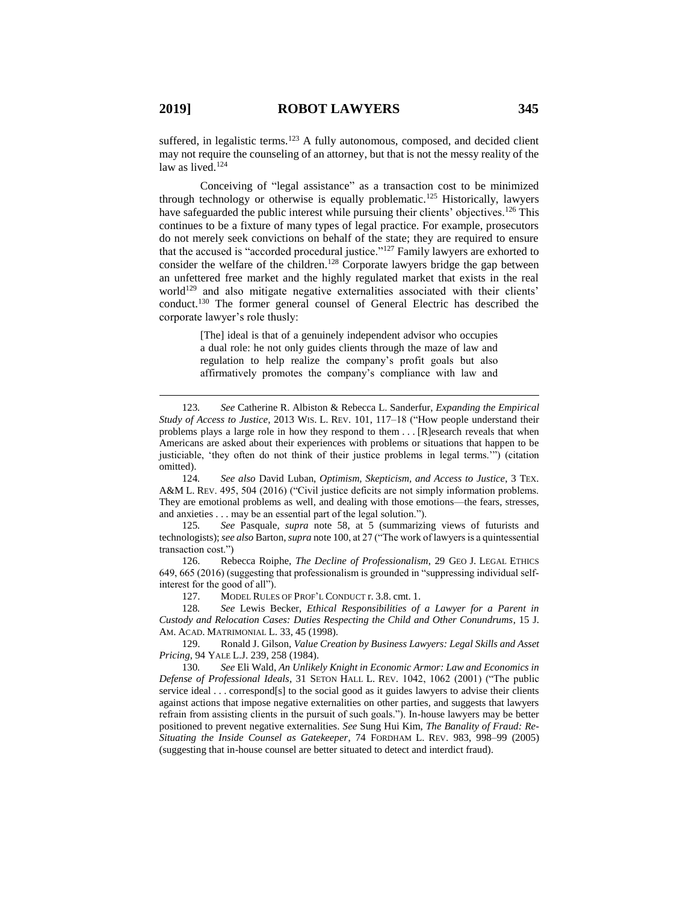suffered, in legalistic terms.<sup>123</sup> A fully autonomous, composed, and decided client may not require the counseling of an attorney, but that is not the messy reality of the law as lived.<sup>124</sup>

Conceiving of "legal assistance" as a transaction cost to be minimized through technology or otherwise is equally problematic.<sup>125</sup> Historically, lawyers have safeguarded the public interest while pursuing their clients' objectives.<sup>126</sup> This continues to be a fixture of many types of legal practice. For example, prosecutors do not merely seek convictions on behalf of the state; they are required to ensure that the accused is "accorded procedural justice."<sup>127</sup> Family lawyers are exhorted to consider the welfare of the children.<sup>128</sup> Corporate lawyers bridge the gap between an unfettered free market and the highly regulated market that exists in the real world<sup>129</sup> and also mitigate negative externalities associated with their clients' conduct.<sup>130</sup> The former general counsel of General Electric has described the corporate lawyer's role thusly:

> [The] ideal is that of a genuinely independent advisor who occupies a dual role: he not only guides clients through the maze of law and regulation to help realize the company's profit goals but also affirmatively promotes the company's compliance with law and

125*. See* Pasquale, *supra* note [58,](#page-8-1) at 5 (summarizing views of futurists and technologists); *see also* Barton, *supra* not[e 100,](#page-15-0) at 27 ("The work of lawyers is a quintessential transaction cost.")

126. Rebecca Roiphe, *The Decline of Professionalism*, 29 GEO J. LEGAL ETHICS 649, 665 (2016) (suggesting that professionalism is grounded in "suppressing individual selfinterest for the good of all").

127. MODEL RULES OF PROF'L CONDUCT r. 3.8. cmt. 1.

128*. See* Lewis Becker*, Ethical Responsibilities of a Lawyer for a Parent in Custody and Relocation Cases: Duties Respecting the Child and Other Conundrums*, 15 J. AM. ACAD. MATRIMONIAL L. 33, 45 (1998).

129. Ronald J. Gilson, *Value Creation by Business Lawyers: Legal Skills and Asset Pricing*, 94 YALE L.J. 239, 258 (1984).

130*. See* Eli Wald, *An Unlikely Knight in Economic Armor: Law and Economics in Defense of Professional Ideals*, 31 SETON HALL L. REV. 1042, 1062 (2001) ("The public service ideal . . . correspond[s] to the social good as it guides lawyers to advise their clients against actions that impose negative externalities on other parties, and suggests that lawyers refrain from assisting clients in the pursuit of such goals."). In-house lawyers may be better positioned to prevent negative externalities. *See* Sung Hui Kim, *The Banality of Fraud: Re-Situating the Inside Counsel as Gatekeeper*, 74 FORDHAM L. REV. 983, 998–99 (2005) (suggesting that in-house counsel are better situated to detect and interdict fraud).

<sup>123</sup>*. See* Catherine R. Albiston & Rebecca L. Sanderfur, *Expanding the Empirical Study of Access to Justice*, 2013 WIS. L. REV. 101, 117–18 ("How people understand their problems plays a large role in how they respond to them . . . [R]esearch reveals that when Americans are asked about their experiences with problems or situations that happen to be justiciable, 'they often do not think of their justice problems in legal terms.'") (citation omitted).

<sup>124</sup>*. See also* David Luban, *Optimism, Skepticism, and Access to Justice*, 3 TEX. A&M L. REV. 495, 504 (2016) ("Civil justice deficits are not simply information problems. They are emotional problems as well, and dealing with those emotions—the fears, stresses, and anxieties . . . may be an essential part of the legal solution.").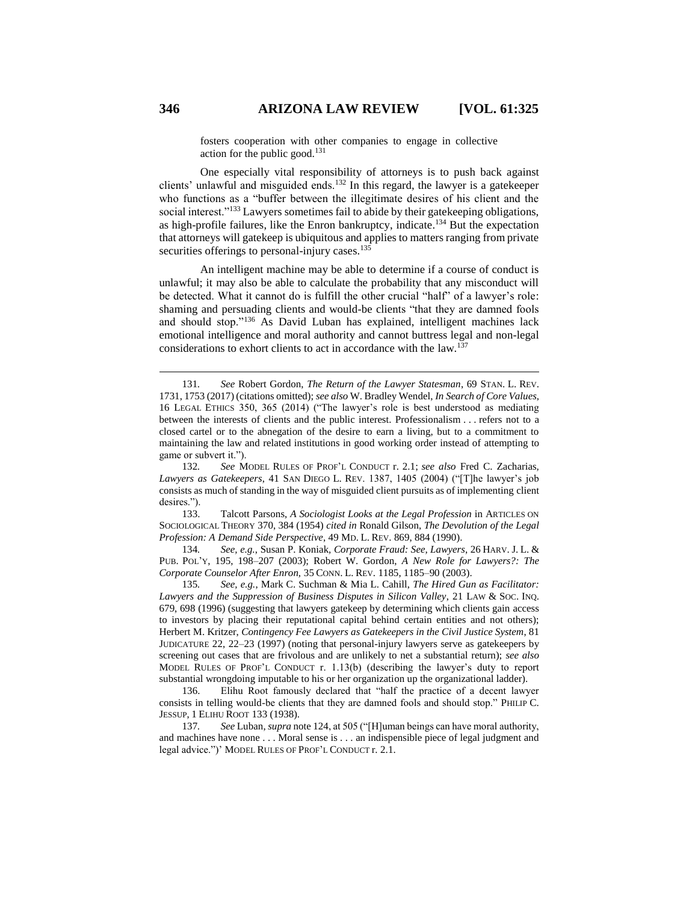fosters cooperation with other companies to engage in collective action for the public good. $131$ 

One especially vital responsibility of attorneys is to push back against clients' unlawful and misguided ends.<sup>132</sup> In this regard, the lawyer is a gatekeeper who functions as a "buffer between the illegitimate desires of his client and the social interest."<sup>133</sup> Lawyers sometimes fail to abide by their gatekeeping obligations, as high-profile failures, like the Enron bankruptcy, indicate.<sup>134</sup> But the expectation that attorneys will gatekeep is ubiquitous and applies to matters ranging from private securities offerings to personal-injury cases.<sup>135</sup>

An intelligent machine may be able to determine if a course of conduct is unlawful; it may also be able to calculate the probability that any misconduct will be detected. What it cannot do is fulfill the other crucial "half" of a lawyer's role: shaming and persuading clients and would-be clients "that they are damned fools and should stop."<sup>136</sup> As David Luban has explained, intelligent machines lack emotional intelligence and moral authority and cannot buttress legal and non-legal considerations to exhort clients to act in accordance with the law.<sup>137</sup>

133. Talcott Parsons, *A Sociologist Looks at the Legal Profession* in ARTICLES ON SOCIOLOGICAL THEORY 370, 384 (1954) *cited in* Ronald Gilson, *The Devolution of the Legal Profession: A Demand Side Perspective*, 49 MD. L. REV. 869, 884 (1990).

134*. See, e.g.*, Susan P. Koniak*, Corporate Fraud: See, Lawyers*, 26 HARV. J. L. & PUB. POL'Y, 195, 198–207 (2003); Robert W. Gordon, *A New Role for Lawyers?: The Corporate Counselor After Enron,* 35 CONN. L. REV. 1185, 1185–90 (2003).

135*. See, e.g.*, Mark C. Suchman & Mia L. Cahill, *The Hired Gun as Facilitator: Lawyers and the Suppression of Business Disputes in Silicon Valley*, 21 LAW & SOC. INQ. 679, 698 (1996) (suggesting that lawyers gatekeep by determining which clients gain access to investors by placing their reputational capital behind certain entities and not others); Herbert M. Kritzer, *Contingency Fee Lawyers as Gatekeepers in the Civil Justice System*, 81 JUDICATURE 22, 22–23 (1997) (noting that personal-injury lawyers serve as gatekeepers by screening out cases that are frivolous and are unlikely to net a substantial return); *see also*  MODEL RULES OF PROF'L CONDUCT r. 1.13(b) (describing the lawyer's duty to report substantial wrongdoing imputable to his or her organization up the organizational ladder).

136. Elihu Root famously declared that "half the practice of a decent lawyer consists in telling would-be clients that they are damned fools and should stop." PHILIP C. JESSUP, 1 ELIHU ROOT 133 (1938).

137*. See* Luban, *supra* note 124, at 505 ("[H]uman beings can have moral authority, and machines have none . . . Moral sense is . . . an indispensible piece of legal judgment and legal advice.")' MODEL RULES OF PROF'L CONDUCT r. 2.1.

<sup>131</sup>*. See* Robert Gordon, *The Return of the Lawyer Statesman*, 69 STAN. L. REV. 1731, 1753 (2017) (citations omitted); *see also* W. Bradley Wendel, *In Search of Core Values*, 16 LEGAL ETHICS 350, 365 (2014) ("The lawyer's role is best understood as mediating between the interests of clients and the public interest. Professionalism . . . refers not to a closed cartel or to the abnegation of the desire to earn a living, but to a commitment to maintaining the law and related institutions in good working order instead of attempting to game or subvert it.").

<sup>132</sup>*. See* MODEL RULES OF PROF'L CONDUCT r. 2.1; *see also* Fred C. Zacharias*, Lawyers as Gatekeepers*, 41 SAN DIEGO L. REV. 1387, 1405 (2004) ("[T]he lawyer's job consists as much of standing in the way of misguided client pursuits as of implementing client desires.").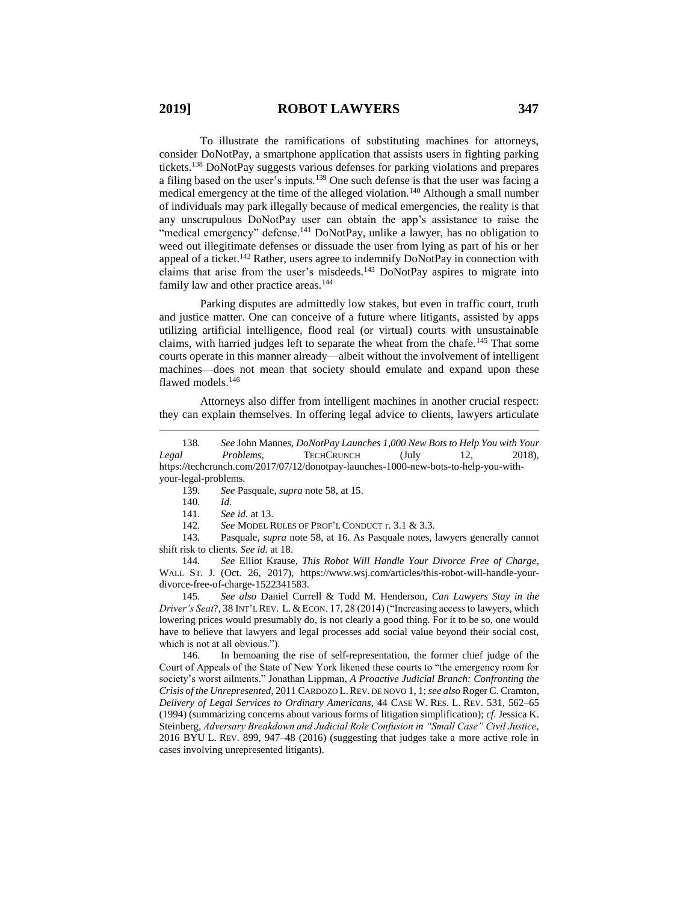To illustrate the ramifications of substituting machines for attorneys, consider DoNotPay, a smartphone application that assists users in fighting parking tickets.<sup>138</sup> DoNotPay suggests various defenses for parking violations and prepares a filing based on the user's inputs.<sup>139</sup> One such defense is that the user was facing a medical emergency at the time of the alleged violation.<sup>140</sup> Although a small number of individuals may park illegally because of medical emergencies, the reality is that any unscrupulous DoNotPay user can obtain the app's assistance to raise the "medical emergency" defense.<sup>141</sup> DoNotPay, unlike a lawyer, has no obligation to weed out illegitimate defenses or dissuade the user from lying as part of his or her appeal of a ticket.<sup>142</sup> Rather, users agree to indemnify DoNotPay in connection with claims that arise from the user's misdeeds. <sup>143</sup> DoNotPay aspires to migrate into family law and other practice areas.<sup>144</sup>

Parking disputes are admittedly low stakes, but even in traffic court, truth and justice matter. One can conceive of a future where litigants, assisted by apps utilizing artificial intelligence, flood real (or virtual) courts with unsustainable claims, with harried judges left to separate the wheat from the chafe.<sup>145</sup> That some courts operate in this manner already—albeit without the involvement of intelligent machines—does not mean that society should emulate and expand upon these flawed models. 146

Attorneys also differ from intelligent machines in another crucial respect: they can explain themselves. In offering legal advice to clients, lawyers articulate

 $\overline{a}$ 

145*. See also* Daniel Currell & Todd M. Henderson, *Can Lawyers Stay in the Driver's Seat?*, 38 INT'L REV. L. & ECON. 17, 28 (2014) ("Increasing access to lawyers, which lowering prices would presumably do, is not clearly a good thing. For it to be so, one would have to believe that lawyers and legal processes add social value beyond their social cost, which is not at all obvious.").

146. In bemoaning the rise of self-representation, the former chief judge of the Court of Appeals of the State of New York likened these courts to "the emergency room for society's worst ailments." Jonathan Lippman, *A Proactive Judicial Branch: Confronting the Crisis of the Unrepresented*, 2011 CARDOZO L.REV. DE NOVO 1, 1; *see also* Roger C. Cramton, *Delivery of Legal Services to Ordinary Americans*, 44 CASE W. RES. L. REV. 531, 562–65 (1994) (summarizing concerns about various forms of litigation simplification); *cf.* Jessica K. Steinberg, *Adversary Breakdown and Judicial Role Confusion in "Small Case" Civil Justice*, 2016 BYU L. REV. 899, 947–48 (2016) (suggesting that judges take a more active role in cases involving unrepresented litigants).

<sup>138</sup>*. See* John Mannes, *DoNotPay Launches 1,000 New Bots to Help You with Your Legal Problems*, TECHCRUNCH (July 12, 2018), https://techcrunch.com/2017/07/12/donotpay-launches-1000-new-bots-to-help-you-withyour-legal-problems.

<sup>139</sup>*. See* Pasquale, *supra* note 58, at 15.

<sup>140</sup>*. Id.*

<sup>141</sup>*. See id.* at 13.

<sup>142</sup>*. See* MODEL RULES OF PROF'L CONDUCT r. 3.1 & 3.3.

<sup>143</sup>*.* Pasquale, *supra* note 58, at 16. As Pasquale notes, lawyers generally cannot shift risk to clients. *See id.* at 18.

<sup>144</sup>*. See* Elliot Krause, *This Robot Will Handle Your Divorce Free of Charge*, WALL ST. J. (Oct. 26, 2017), https://www.wsj.com/articles/this-robot-will-handle-yourdivorce-free-of-charge-1522341583.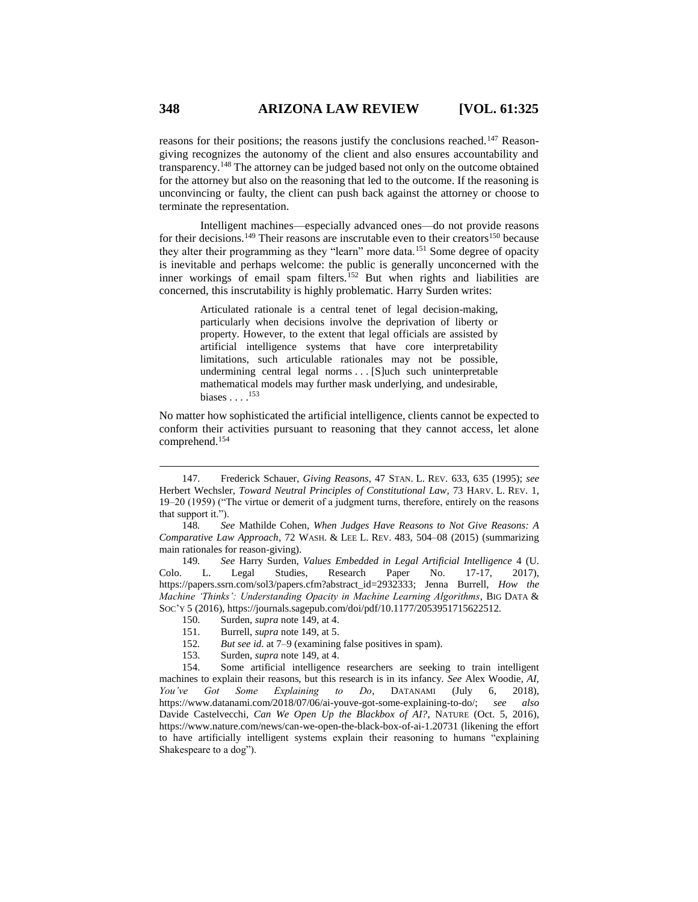reasons for their positions; the reasons justify the conclusions reached.<sup>147</sup> Reasongiving recognizes the autonomy of the client and also ensures accountability and transparency.<sup>148</sup> The attorney can be judged based not only on the outcome obtained for the attorney but also on the reasoning that led to the outcome. If the reasoning is unconvincing or faulty, the client can push back against the attorney or choose to terminate the representation.

Intelligent machines—especially advanced ones—do not provide reasons for their decisions.<sup>149</sup> Their reasons are inscrutable even to their creators<sup>150</sup> because they alter their programming as they "learn" more data.<sup>151</sup> Some degree of opacity is inevitable and perhaps welcome: the public is generally unconcerned with the inner workings of email spam filters.<sup>152</sup> But when rights and liabilities are concerned, this inscrutability is highly problematic. Harry Surden writes:

> <span id="page-23-0"></span>Articulated rationale is a central tenet of legal decision-making, particularly when decisions involve the deprivation of liberty or property. However, to the extent that legal officials are assisted by artificial intelligence systems that have core interpretability limitations, such articulable rationales may not be possible, undermining central legal norms . . . [S]uch such uninterpretable mathematical models may further mask underlying, and undesirable, biases  $\ldots$ .<sup>153</sup>

No matter how sophisticated the artificial intelligence, clients cannot be expected to conform their activities pursuant to reasoning that they cannot access, let alone comprehend.<sup>154</sup>

153. Surden, *supra* not[e 149,](#page-23-0) at 4.

<sup>147.</sup> Frederick Schauer, *Giving Reasons*, 47 STAN. L. REV. 633, 635 (1995); *see* Herbert Wechsler, *Toward Neutral Principles of Constitutional Law*, 73 HARV. L. REV. 1, 19–20 (1959) ("The virtue or demerit of a judgment turns, therefore, entirely on the reasons that support it.").

<sup>148</sup>*. See* Mathilde Cohen, *When Judges Have Reasons to Not Give Reasons: A Comparative Law Approach*, 72 WASH. & LEE L. REV. 483, 504–08 (2015) (summarizing main rationales for reason-giving).

<sup>149</sup>*. See* Harry Surden, *Values Embedded in Legal Artificial Intelligence* 4 (U. Colo. L. Legal Studies, Research Paper No. 17-17, 2017), https://papers.ssrn.com/sol3/papers.cfm?abstract\_id=2932333; Jenna Burrell, *How the Machine 'Thinks': Understanding Opacity in Machine Learning Algorithms*, BIG DATA & SOC'Y 5 (2016), https://journals.sagepub.com/doi/pdf/10.1177/2053951715622512.

<sup>150.</sup> Surden, *supra* not[e 149,](#page-23-0) at 4.

<sup>151.</sup> Burrell, *supra* not[e 149,](#page-23-0) at 5.

<sup>152</sup>*. But see id*. at 7–9 (examining false positives in spam).

<sup>154.</sup> Some artificial intelligence researchers are seeking to train intelligent machines to explain their reasons, but this research is in its infancy. *See* Alex Woodie, *AI, You've Got Some Explaining to Do*, DATANAMI (July 6, 2018), https://www.datanami.com/2018/07/06/ai-youve-got-some-explaining-to-do/; *see also* Davide Castelvecchi, *Can We Open Up the Blackbox of AI?*, NATURE (Oct. 5, 2016), https://www.nature.com/news/can-we-open-the-black-box-of-ai-1.20731 (likening the effort to have artificially intelligent systems explain their reasoning to humans "explaining Shakespeare to a dog").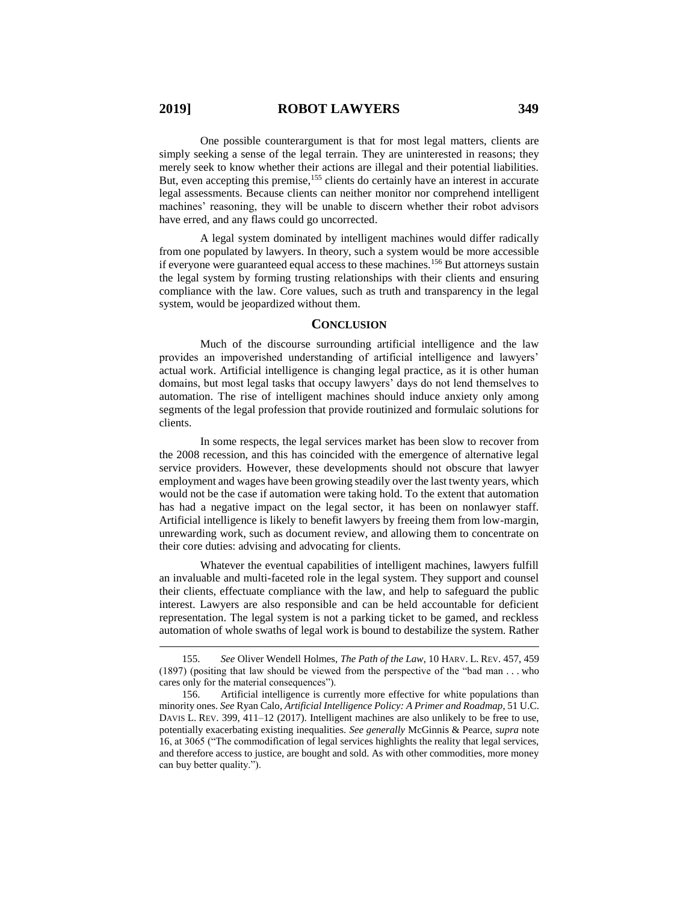One possible counterargument is that for most legal matters, clients are simply seeking a sense of the legal terrain. They are uninterested in reasons; they merely seek to know whether their actions are illegal and their potential liabilities. But, even accepting this premise,<sup>155</sup> clients do certainly have an interest in accurate legal assessments. Because clients can neither monitor nor comprehend intelligent machines' reasoning, they will be unable to discern whether their robot advisors have erred, and any flaws could go uncorrected.

A legal system dominated by intelligent machines would differ radically from one populated by lawyers. In theory, such a system would be more accessible if everyone were guaranteed equal access to these machines.<sup>156</sup> But attorneys sustain the legal system by forming trusting relationships with their clients and ensuring compliance with the law. Core values, such as truth and transparency in the legal system, would be jeopardized without them.

#### **CONCLUSION**

Much of the discourse surrounding artificial intelligence and the law provides an impoverished understanding of artificial intelligence and lawyers' actual work. Artificial intelligence is changing legal practice, as it is other human domains, but most legal tasks that occupy lawyers' days do not lend themselves to automation. The rise of intelligent machines should induce anxiety only among segments of the legal profession that provide routinized and formulaic solutions for clients.

In some respects, the legal services market has been slow to recover from the 2008 recession, and this has coincided with the emergence of alternative legal service providers. However, these developments should not obscure that lawyer employment and wages have been growing steadily over the last twenty years, which would not be the case if automation were taking hold. To the extent that automation has had a negative impact on the legal sector, it has been on nonlawyer staff. Artificial intelligence is likely to benefit lawyers by freeing them from low-margin, unrewarding work, such as document review, and allowing them to concentrate on their core duties: advising and advocating for clients.

Whatever the eventual capabilities of intelligent machines, lawyers fulfill an invaluable and multi-faceted role in the legal system. They support and counsel their clients, effectuate compliance with the law, and help to safeguard the public interest. Lawyers are also responsible and can be held accountable for deficient representation. The legal system is not a parking ticket to be gamed, and reckless automation of whole swaths of legal work is bound to destabilize the system. Rather

<sup>155.</sup> *See* Oliver Wendell Holmes, *The Path of the Law*, 10 HARV. L. REV. 457, 459 (1897) (positing that law should be viewed from the perspective of the "bad man . . . who cares only for the material consequences").

<sup>156.</sup> Artificial intelligence is currently more effective for white populations than minority ones. *See* Ryan Calo, *Artificial Intelligence Policy: A Primer and Roadmap*, 51 U.C. DAVIS L. REV. 399, 411–12 (2017). Intelligent machines are also unlikely to be free to use, potentially exacerbating existing inequalities. *See generally* McGinnis & Pearce, *supra* note [16,](#page-2-0) at 3065 ("The commodification of legal services highlights the reality that legal services, and therefore access to justice, are bought and sold. As with other commodities, more money can buy better quality.").